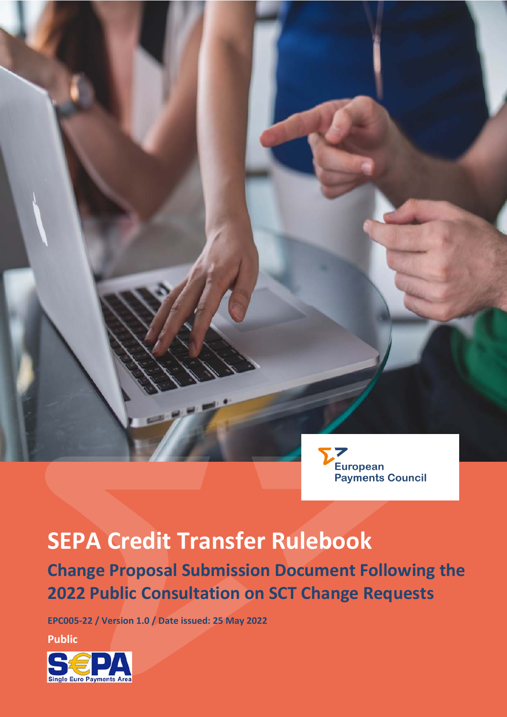

# **SEPA Credit Transfer Rulebook Change Proposal Submission Document Following the 2022 Public Consultation on SCT Change Requests**

**EPC005-22 / Version 1.0 / Date issued: 25 May 2022**

**Public**

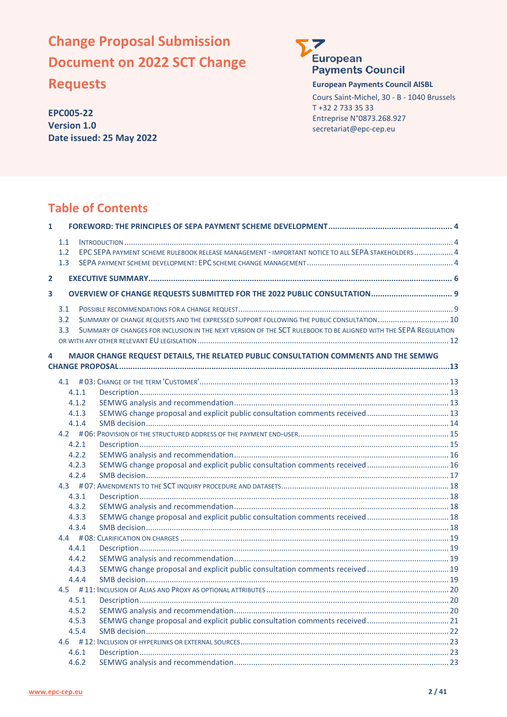# **Change Proposal Submission Document on 2022 SCT Change**

**Requests**

**EPC005-22 Version 1.0 Date issued: 25 May 2022**



#### **European Payments Council AISBL**

Cours Saint-Michel, 30 - B - 1040 Brussels T +32 2 733 35 33 Entreprise N°0873.268.927 secretariat@epc-cep.eu

# **Table of Contents**

| $\mathbf{1}$   |       |                                                                                                                 |  |
|----------------|-------|-----------------------------------------------------------------------------------------------------------------|--|
|                | 1.1   |                                                                                                                 |  |
|                | 1.2   | EPC SEPA PAYMENT SCHEME RULEBOOK RELEASE MANAGEMENT - IMPORTANT NOTICE TO ALL SEPA STAKEHOLDERS  4              |  |
|                | 1.3   |                                                                                                                 |  |
| $\overline{2}$ |       |                                                                                                                 |  |
|                |       |                                                                                                                 |  |
| 3              |       |                                                                                                                 |  |
|                | 3.1   |                                                                                                                 |  |
|                | 3.2   | SUMMARY OF CHANGE REQUESTS AND THE EXPRESSED SUPPORT FOLLOWING THE PUBLIC CONSULTATION 10                       |  |
|                | 3.3   | SUMMARY OF CHANGES FOR INCLUSION IN THE NEXT VERSION OF THE SCT RULEBOOK TO BE ALIGNED WITH THE SEPA REGULATION |  |
|                |       |                                                                                                                 |  |
| 4              |       | MAJOR CHANGE REQUEST DETAILS, THE RELATED PUBLIC CONSULTATION COMMENTS AND THE SEMWG                            |  |
|                |       |                                                                                                                 |  |
|                | 4.1   |                                                                                                                 |  |
|                | 4.1.1 |                                                                                                                 |  |
|                | 4.1.2 |                                                                                                                 |  |
|                | 4.1.3 |                                                                                                                 |  |
|                | 4.1.4 |                                                                                                                 |  |
|                |       |                                                                                                                 |  |
|                | 4.2.1 |                                                                                                                 |  |
|                | 4.2.2 |                                                                                                                 |  |
|                | 4.2.3 | SEMWG change proposal and explicit public consultation comments received 16                                     |  |
|                | 4.2.4 |                                                                                                                 |  |
|                |       |                                                                                                                 |  |
|                | 4.3.1 |                                                                                                                 |  |
|                | 4.3.2 |                                                                                                                 |  |
|                | 4.3.3 | SEMWG change proposal and explicit public consultation comments received  18                                    |  |
|                | 4.3.4 |                                                                                                                 |  |
|                |       |                                                                                                                 |  |
|                | 4.4.1 |                                                                                                                 |  |
|                | 4.4.2 |                                                                                                                 |  |
|                | 4.4.3 | SEMWG change proposal and explicit public consultation comments received  19                                    |  |
|                | 4.4.4 |                                                                                                                 |  |
|                |       |                                                                                                                 |  |
|                | 4.5.1 |                                                                                                                 |  |
|                | 4.5.2 |                                                                                                                 |  |
|                | 4.5.3 | SEMWG change proposal and explicit public consultation comments received  21                                    |  |
|                | 4.5.4 |                                                                                                                 |  |
|                |       |                                                                                                                 |  |
|                | 4.6.1 |                                                                                                                 |  |
|                | 4.6.2 |                                                                                                                 |  |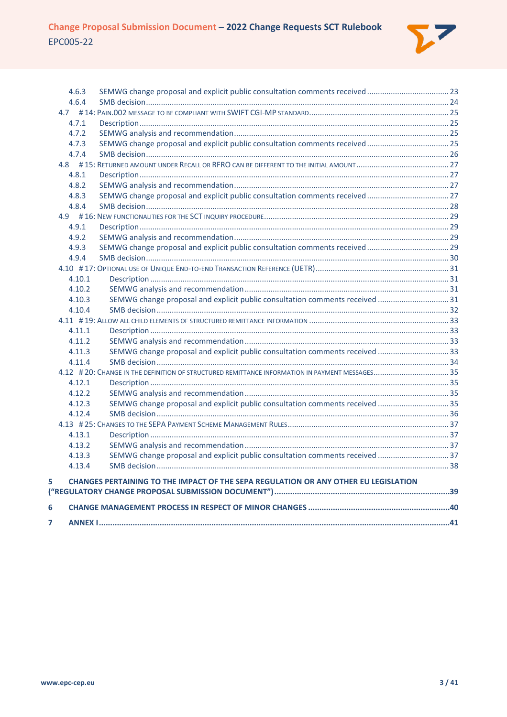

|   | 4.6.3  | SEMWG change proposal and explicit public consultation comments received  23        |  |
|---|--------|-------------------------------------------------------------------------------------|--|
|   | 4.6.4  |                                                                                     |  |
|   |        |                                                                                     |  |
|   | 4.7.1  |                                                                                     |  |
|   | 4.7.2  |                                                                                     |  |
|   | 4.7.3  |                                                                                     |  |
|   | 4.7.4  |                                                                                     |  |
|   |        |                                                                                     |  |
|   | 4.8.1  |                                                                                     |  |
|   | 4.8.2  |                                                                                     |  |
|   | 4.8.3  |                                                                                     |  |
|   | 4.8.4  |                                                                                     |  |
|   |        |                                                                                     |  |
|   | 4.9.1  |                                                                                     |  |
|   | 4.9.2  |                                                                                     |  |
|   | 4.9.3  |                                                                                     |  |
|   | 4.9.4  |                                                                                     |  |
|   |        |                                                                                     |  |
|   | 4.10.1 |                                                                                     |  |
|   | 4.10.2 |                                                                                     |  |
|   | 4.10.3 | SEMWG change proposal and explicit public consultation comments received 31         |  |
|   | 4.10.4 |                                                                                     |  |
|   |        |                                                                                     |  |
|   | 4.11.1 |                                                                                     |  |
|   | 4.11.2 |                                                                                     |  |
|   | 4.11.3 | SEMWG change proposal and explicit public consultation comments received 33         |  |
|   | 4.11.4 |                                                                                     |  |
|   |        |                                                                                     |  |
|   | 4.12.1 |                                                                                     |  |
|   | 4.12.2 |                                                                                     |  |
|   | 4.12.3 | SEMWG change proposal and explicit public consultation comments received  35        |  |
|   | 4.12.4 |                                                                                     |  |
|   |        |                                                                                     |  |
|   | 4.13.1 |                                                                                     |  |
|   | 4.13.2 |                                                                                     |  |
|   | 4.13.3 | SEMWG change proposal and explicit public consultation comments received 37         |  |
|   | 4.13.4 |                                                                                     |  |
| 5 |        | CHANGES PERTAINING TO THE IMPACT OF THE SEPA REGULATION OR ANY OTHER EU LEGISLATION |  |
|   |        |                                                                                     |  |
|   |        |                                                                                     |  |
| 6 |        |                                                                                     |  |
| 7 |        |                                                                                     |  |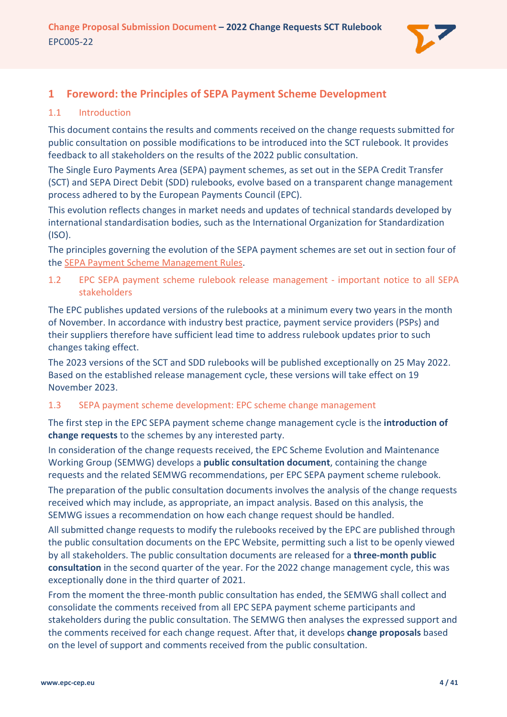

# <span id="page-3-0"></span>**1 Foreword: the Principles of SEPA Payment Scheme Development**

# <span id="page-3-1"></span>1.1 Introduction

This document contains the results and comments received on the change requests submitted for public consultation on possible modifications to be introduced into the SCT rulebook. It provides feedback to all stakeholders on the results of the 2022 public consultation.

The Single Euro Payments Area (SEPA) payment schemes, as set out in the SEPA Credit Transfer (SCT) and SEPA Direct Debit (SDD) rulebooks, evolve based on a transparent change management process adhered to by the European Payments Council (EPC).

This evolution reflects changes in market needs and updates of technical standards developed by international standardisation bodies, such as the International Organization for Standardization (ISO).

The principles governing the evolution of the SEPA payment schemes are set out in section four of th[e SEPA Payment Scheme Management Rules.](https://www.europeanpaymentscouncil.eu/document-library/rulebooks/sepa-payment-scheme-management-rules)

<span id="page-3-2"></span>1.2 EPC SEPA payment scheme rulebook release management - important notice to all SEPA stakeholders

The EPC publishes updated versions of the rulebooks at a minimum every two years in the month of November. In accordance with industry best practice, payment service providers (PSPs) and their suppliers therefore have sufficient lead time to address rulebook updates prior to such changes taking effect.

The 2023 versions of the SCT and SDD rulebooks will be published exceptionally on 25 May 2022. Based on the established release management cycle, these versions will take effect on 19 November 2023.

### <span id="page-3-3"></span>1.3 SEPA payment scheme development: EPC scheme change management

The first step in the EPC SEPA payment scheme change management cycle is the **introduction of change requests** to the schemes by any interested party.

In consideration of the change requests received, the EPC Scheme Evolution and Maintenance Working Group (SEMWG) develops a **public consultation document**, containing the change requests and the related SEMWG recommendations, per EPC SEPA payment scheme rulebook.

The preparation of the public consultation documents involves the analysis of the change requests received which may include, as appropriate, an impact analysis. Based on this analysis, the SEMWG issues a recommendation on how each change request should be handled.

All submitted change requests to modify the rulebooks received by the EPC are published through the public consultation documents on the EPC Website, permitting such a list to be openly viewed by all stakeholders. The public consultation documents are released for a **three-month public consultation** in the second quarter of the year. For the 2022 change management cycle, this was exceptionally done in the third quarter of 2021.

From the moment the three-month public consultation has ended, the SEMWG shall collect and consolidate the comments received from all EPC SEPA payment scheme participants and stakeholders during the public consultation. The SEMWG then analyses the expressed support and the comments received for each change request. After that, it develops **change proposals** based on the level of support and comments received from the public consultation.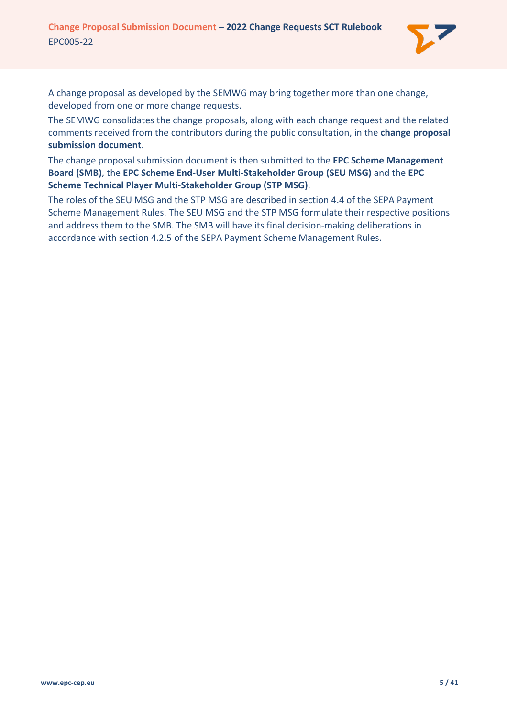

A change proposal as developed by the SEMWG may bring together more than one change, developed from one or more change requests.

The SEMWG consolidates the change proposals, along with each change request and the related comments received from the contributors during the public consultation, in the **change proposal submission document**.

The change proposal submission document is then submitted to the **EPC Scheme Management Board (SMB)**, the **EPC Scheme End-User Multi-Stakeholder Group (SEU MSG)** and the **EPC Scheme Technical Player Multi-Stakeholder Group (STP MSG)**.

The roles of the SEU MSG and the STP MSG are described in section 4.4 of the SEPA Payment Scheme Management Rules. The SEU MSG and the STP MSG formulate their respective positions and address them to the SMB. The SMB will have its final decision-making deliberations in accordance with section 4.2.5 of the SEPA Payment Scheme Management Rules.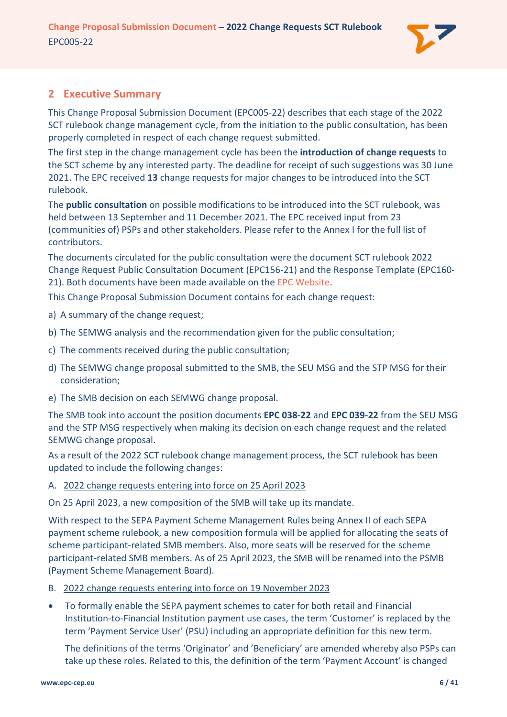

# <span id="page-5-0"></span>**2 Executive Summary**

This Change Proposal Submission Document (EPC005-22) describes that each stage of the 2022 SCT rulebook change management cycle, from the initiation to the public consultation, has been properly completed in respect of each change request submitted.

The first step in the change management cycle has been the **introduction of change requests** to the SCT scheme by any interested party. The deadline for receipt of such suggestions was 30 June 2021. The EPC received **13** change requests for major changes to be introduced into the SCT rulebook.

The **public consultation** on possible modifications to be introduced into the SCT rulebook, was held between 13 September and 11 December 2021. The EPC received input from 23 (communities of) PSPs and other stakeholders. Please refer to the [Annex I](#page-40-0) for the full list of contributors.

The documents circulated for the public consultation were the document SCT rulebook 2022 Change Request Public Consultation Document (EPC156-21) and the Response Template (EPC160- 21). Both documents have been made available on the [EPC Website.](https://www.europeanpaymentscouncil.eu/document-library/rulebooks/sepa-credit-transfer-rulebook-public-consultation-document-2022-change)

This Change Proposal Submission Document contains for each change request:

- a) A summary of the change request;
- b) The SEMWG analysis and the recommendation given for the public consultation;
- c) The comments received during the public consultation;
- d) The SEMWG change proposal submitted to the SMB, the SEU MSG and the STP MSG for their consideration;
- e) The SMB decision on each SEMWG change proposal.

The SMB took into account the position documents **EPC 038-22** and **EPC 039-22** from the SEU MSG and the STP MSG respectively when making its decision on each change request and the related SEMWG change proposal.

As a result of the 2022 SCT rulebook change management process, the SCT rulebook has been updated to include the following changes:

### A. 2022 change requests entering into force on 25 April 2023

On 25 April 2023, a new composition of the SMB will take up its mandate.

With respect to the SEPA Payment Scheme Management Rules being Annex II of each SEPA payment scheme rulebook, a new composition formula will be applied for allocating the seats of scheme participant-related SMB members. Also, more seats will be reserved for the scheme participant-related SMB members. As of 25 April 2023, the SMB will be renamed into the PSMB (Payment Scheme Management Board).

- B. 2022 change requests entering into force on 19 November 2023
- To formally enable the SEPA payment schemes to cater for both retail and Financial Institution-to-Financial Institution payment use cases, the term 'Customer' is replaced by the term 'Payment Service User' (PSU) including an appropriate definition for this new term.

The definitions of the terms 'Originator' and 'Beneficiary' are amended whereby also PSPs can take up these roles. Related to this, the definition of the term 'Payment Account' is changed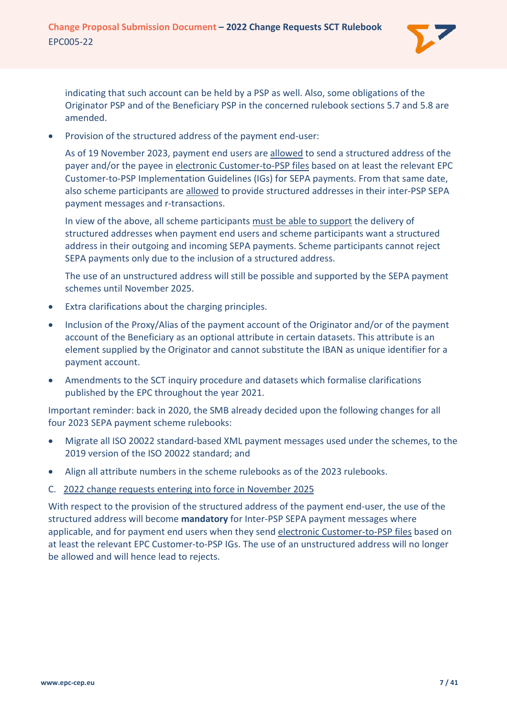

indicating that such account can be held by a PSP as well. Also, some obligations of the Originator PSP and of the Beneficiary PSP in the concerned rulebook sections 5.7 and 5.8 are amended.

• Provision of the structured address of the payment end-user:

As of 19 November 2023, payment end users are allowed to send a structured address of the payer and/or the payee in electronic Customer-to-PSP files based on at least the relevant EPC Customer-to-PSP Implementation Guidelines (IGs) for SEPA payments. From that same date, also scheme participants are allowed to provide structured addresses in their inter-PSP SEPA payment messages and r-transactions.

In view of the above, all scheme participants must be able to support the delivery of structured addresses when payment end users and scheme participants want a structured address in their outgoing and incoming SEPA payments. Scheme participants cannot reject SEPA payments only due to the inclusion of a structured address.

The use of an unstructured address will still be possible and supported by the SEPA payment schemes until November 2025.

- Extra clarifications about the charging principles.
- Inclusion of the Proxy/Alias of the payment account of the Originator and/or of the payment account of the Beneficiary as an optional attribute in certain datasets. This attribute is an element supplied by the Originator and cannot substitute the IBAN as unique identifier for a payment account.
- Amendments to the SCT inquiry procedure and datasets which formalise clarifications published by the EPC throughout the year 2021.

Important reminder: back in 2020, the SMB already decided upon the following changes for all four 2023 SEPA payment scheme rulebooks:

- Migrate all ISO 20022 standard-based XML payment messages used under the schemes, to the 2019 version of the ISO 20022 standard; and
- Align all attribute numbers in the scheme rulebooks as of the 2023 rulebooks.
- C. 2022 change requests entering into force in November 2025

With respect to the provision of the structured address of the payment end-user, the use of the structured address will become **mandatory** for Inter-PSP SEPA payment messages where applicable, and for payment end users when they send electronic Customer-to-PSP files based on at least the relevant EPC Customer-to-PSP IGs. The use of an unstructured address will no longer be allowed and will hence lead to rejects.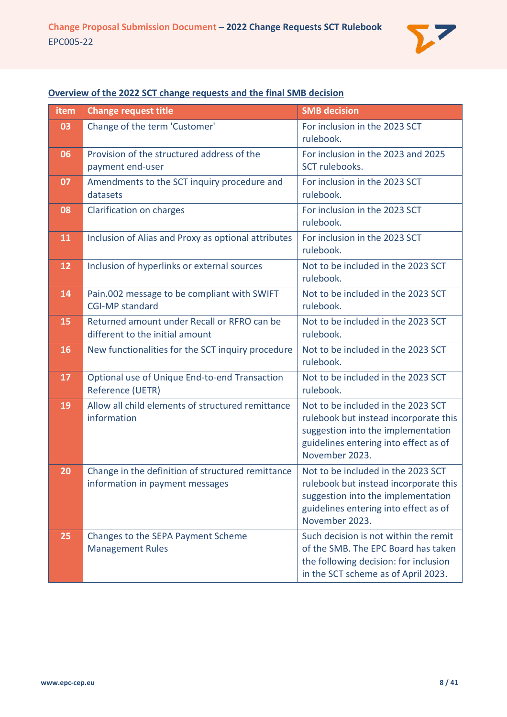

# **Overview of the 2022 SCT change requests and the final SMB decision**

| item | <b>Change request title</b>                                                          | <b>SMB decision</b>                                                                                                                                                          |
|------|--------------------------------------------------------------------------------------|------------------------------------------------------------------------------------------------------------------------------------------------------------------------------|
| 03   | Change of the term 'Customer'                                                        | For inclusion in the 2023 SCT<br>rulebook.                                                                                                                                   |
| 06   | Provision of the structured address of the<br>payment end-user                       | For inclusion in the 2023 and 2025<br>SCT rulebooks.                                                                                                                         |
| 07   | Amendments to the SCT inquiry procedure and<br>datasets                              | For inclusion in the 2023 SCT<br>rulebook.                                                                                                                                   |
| 08   | Clarification on charges                                                             | For inclusion in the 2023 SCT<br>rulebook.                                                                                                                                   |
| 11   | Inclusion of Alias and Proxy as optional attributes                                  | For inclusion in the 2023 SCT<br>rulebook.                                                                                                                                   |
| 12   | Inclusion of hyperlinks or external sources                                          | Not to be included in the 2023 SCT<br>rulebook.                                                                                                                              |
| 14   | Pain.002 message to be compliant with SWIFT<br><b>CGI-MP standard</b>                | Not to be included in the 2023 SCT<br>rulebook.                                                                                                                              |
| 15   | Returned amount under Recall or RFRO can be<br>different to the initial amount       | Not to be included in the 2023 SCT<br>rulebook.                                                                                                                              |
| 16   | New functionalities for the SCT inquiry procedure                                    | Not to be included in the 2023 SCT<br>rulebook.                                                                                                                              |
| 17   | Optional use of Unique End-to-end Transaction<br>Reference (UETR)                    | Not to be included in the 2023 SCT<br>rulebook.                                                                                                                              |
| 19   | Allow all child elements of structured remittance<br>information                     | Not to be included in the 2023 SCT<br>rulebook but instead incorporate this<br>suggestion into the implementation<br>guidelines entering into effect as of<br>November 2023. |
| 20   | Change in the definition of structured remittance<br>information in payment messages | Not to be included in the 2023 SCT<br>rulebook but instead incorporate this<br>suggestion into the implementation<br>guidelines entering into effect as of<br>November 2023. |
| 25   | Changes to the SEPA Payment Scheme<br><b>Management Rules</b>                        | Such decision is not within the remit<br>of the SMB. The EPC Board has taken<br>the following decision: for inclusion<br>in the SCT scheme as of April 2023.                 |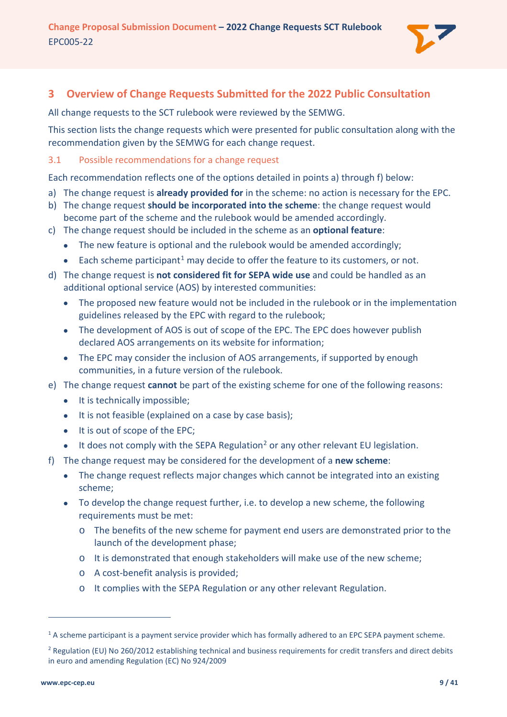

# <span id="page-8-0"></span>**3 Overview of Change Requests Submitted for the 2022 Public Consultation**

All change requests to the SCT rulebook were reviewed by the SEMWG.

This section lists the change requests which were presented for public consultation along with the recommendation given by the SEMWG for each change request.

## <span id="page-8-1"></span>3.1 Possible recommendations for a change request

Each recommendation reflects one of the options detailed in points a) through f) below:

- a) The change request is **already provided for** in the scheme: no action is necessary for the EPC.
- b) The change request **should be incorporated into the scheme**: the change request would become part of the scheme and the rulebook would be amended accordingly.
- c) The change request should be included in the scheme as an **optional feature**:
	- The new feature is optional and the rulebook would be amended accordingly;
	- $\bullet$  Each scheme participant<sup>[1](#page-8-2)</sup> may decide to offer the feature to its customers, or not.
- d) The change request is **not considered fit for SEPA wide use** and could be handled as an additional optional service (AOS) by interested communities:
	- The proposed new feature would not be included in the rulebook or in the implementation guidelines released by the EPC with regard to the rulebook;
	- The development of AOS is out of scope of the EPC. The EPC does however publish declared AOS arrangements on its website for information;
	- The EPC may consider the inclusion of AOS arrangements, if supported by enough communities, in a future version of the rulebook.
- e) The change request **cannot** be part of the existing scheme for one of the following reasons:
	- It is technically impossible;
	- It is not feasible (explained on a case by case basis);
	- It is out of scope of the EPC;
	- It does not comply with the SEPA Regulation<sup>[2](#page-8-3)</sup> or any other relevant EU legislation.
- f) The change request may be considered for the development of a **new scheme**:
	- The change request reflects major changes which cannot be integrated into an existing scheme;
	- To develop the change request further, i.e. to develop a new scheme, the following requirements must be met:
		- o The benefits of the new scheme for payment end users are demonstrated prior to the launch of the development phase;
		- o It is demonstrated that enough stakeholders will make use of the new scheme;
		- o A cost-benefit analysis is provided;
		- o It complies with the SEPA Regulation or any other relevant Regulation.

<span id="page-8-2"></span><sup>&</sup>lt;sup>1</sup> A scheme participant is a payment service provider which has formally adhered to an EPC SEPA payment scheme.

<span id="page-8-3"></span><sup>&</sup>lt;sup>2</sup> Regulation (EU) No 260/2012 establishing technical and business requirements for credit transfers and direct debits in euro and amending Regulation (EC) No 924/2009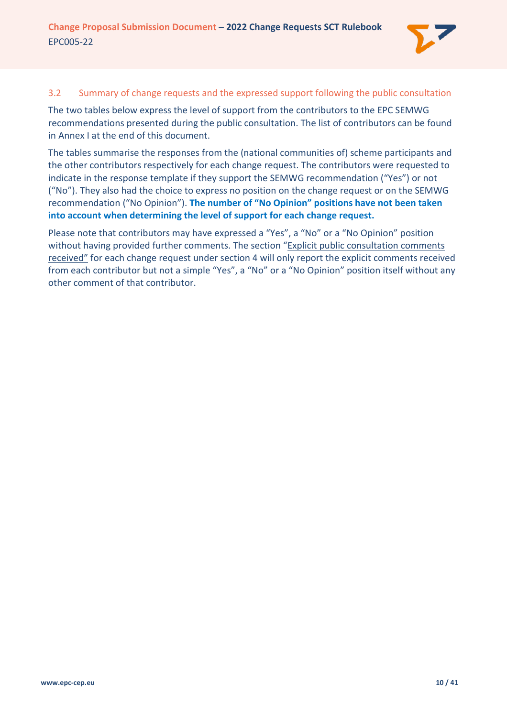

#### <span id="page-9-0"></span>3.2 Summary of change requests and the expressed support following the public consultation

The two tables below express the level of support from the contributors to the EPC SEMWG recommendations presented during the public consultation. The list of contributors can be found in [Annex I](#page-40-0) at the end of this document.

The tables summarise the responses from the (national communities of) scheme participants and the other contributors respectively for each change request. The contributors were requested to indicate in the response template if they support the SEMWG recommendation ("Yes") or not ("No"). They also had the choice to express no position on the change request or on the SEMWG recommendation ("No Opinion"). **The number of "No Opinion" positions have not been taken into account when determining the level of support for each change request.**

Please note that contributors may have expressed a "Yes", a "No" or a "No Opinion" position without having provided further comments. The section "Explicit public consultation comments received" for each change request under section [4](#page-12-0) will only report the explicit comments received from each contributor but not a simple "Yes", a "No" or a "No Opinion" position itself without any other comment of that contributor.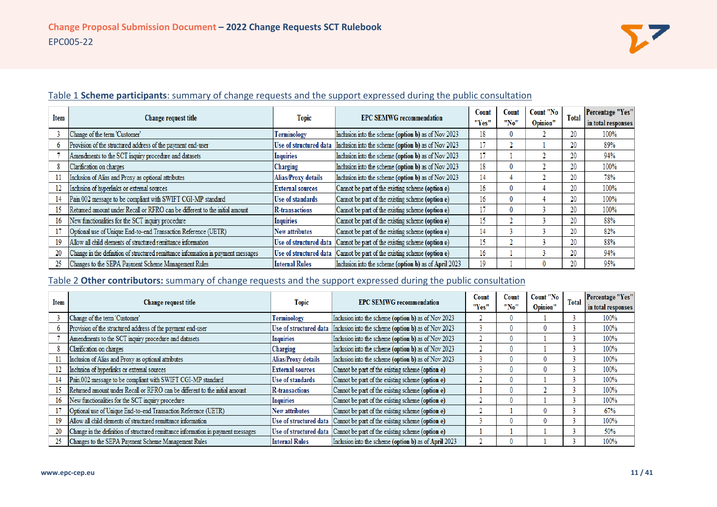

| Item |                                                                                   |                            | <b>EPC SEMWG recommendation</b>                       | Count | Count | Count "No | Total | <b>Percentage "Yes"</b> |
|------|-----------------------------------------------------------------------------------|----------------------------|-------------------------------------------------------|-------|-------|-----------|-------|-------------------------|
|      | Change request title                                                              | <b>Topic</b>               |                                                       | "Yes" | "No"  | Opinion"  |       | in total responses      |
|      | Change of the term 'Customer'                                                     | Terminology                | Inclusion into the scheme (option b) as of Nov 2023   | 18    |       |           |       | 100%                    |
|      | Provision of the structured address of the payment end-user                       | Use of structured data     | Inclusion into the scheme (option b) as of Nov 2023   | 17    |       |           |       | 89%                     |
|      | Amendments to the SCT inquiry procedure and datasets                              | Inquiries                  | Inclusion into the scheme (option b) as of Nov 2023   | 17    |       |           |       | 94%                     |
|      | Clarification on charges                                                          | Charging                   | Inclusion into the scheme (option b) as of Nov 2023   | 18    |       |           |       | 100%                    |
|      | Inclusion of Alias and Proxy as optional attributes                               | <b>Alias/Proxy details</b> | Inclusion into the scheme (option b) as of Nov 2023   | 14    |       |           |       | 78%                     |
| 12   | Inclusion of hyperlinks or external sources                                       | <b>External sources</b>    | Cannot be part of the existing scheme (option e)      | 16    |       |           |       | 100%                    |
|      | Pain.002 message to be compliant with SWIFT CGI-MP standard                       | Use of standards           | Cannot be part of the existing scheme (option e)      | 16    |       |           | 20    | 100%                    |
| 15   | Returned amount under Recall or RFRO can be different to the initial amount       | R-transactions             | Cannot be part of the existing scheme (option e)      | 17    |       |           |       | 100%                    |
| 16   | New functionalities for the SCT inquiry procedure                                 | Inquiries                  | Cannot be part of the existing scheme (option e)      | 15    |       |           | 20    | 88%                     |
|      | Optional use of Unique End-to-end Transaction Reference (UETR)                    | <b>New attributes</b>      | Cannot be part of the existing scheme (option e)      | 14    |       |           | 20    | 82%                     |
| 19   | Allow all child elements of structured remittance information                     | Use of structured data     | Cannot be part of the existing scheme (option e)      | 15    |       |           | 20    | 88%                     |
| 20   | Change in the definition of structured remittance information in payment messages | Use of structured data     | Cannot be part of the existing scheme (option e)      | 16    |       |           | 20    | 94%                     |
| 25   | Changes to the SEPA Payment Scheme Management Rules                               | <b>Internal Rules</b>      | Inclusion into the scheme (option b) as of April 2023 | 19    |       |           |       | 95%                     |

# Table 1 **Scheme participants**: summary of change requests and the support expressed during the public consultation

# Table 2 **Other contributors:** summary of change requests and the support expressed during the public consultation

| <b>Item</b> |                                                                                   |                         | <b>EPC SEMWG recommendation</b>                                            | Count | Count        | Count "No | Total | <b>Percentage "Yes"</b> |
|-------------|-----------------------------------------------------------------------------------|-------------------------|----------------------------------------------------------------------------|-------|--------------|-----------|-------|-------------------------|
|             | <b>Change request title</b>                                                       |                         | <b>Topic</b>                                                               |       | "No"         | Opinion"  |       | in total responses      |
|             | Change of the term 'Customer'                                                     | Terminology             | Inclusion into the scheme (option b) as of Nov 2023                        |       |              |           |       | 100%                    |
|             | Provision of the structured address of the payment end-user                       |                         | Use of structured data Inclusion into the scheme (option b) as of Nov 2023 |       | $\mathbf{0}$ |           |       | 100%                    |
|             | Amendments to the SCT inquiry procedure and datasets                              | Inquiries               | Inclusion into the scheme (option b) as of Nov 2023                        |       |              |           |       | 100%                    |
|             | Clarification on charges                                                          | <b>Charging</b>         | Inclusion into the scheme (option b) as of Nov 2023                        |       | $\mathbf{0}$ |           |       | 100%                    |
| 11          | Inclusion of Alias and Proxy as optional attributes                               | Alias/Proxy details     | Inclusion into the scheme (option b) as of Nov 2023                        |       |              |           |       | 100%                    |
| 12          | Inclusion of hyperlinks or external sources                                       | <b>External sources</b> | Cannot be part of the existing scheme (option e)                           |       |              |           |       | 100%                    |
| 14          | Pain.002 message to be compliant with SWIFT CGI-MP standard                       | Use of standards        | Cannot be part of the existing scheme (option e)                           |       |              |           |       | 100%                    |
| 15          | Returned amount under Recall or RFRO can be different to the initial amount       | R-transactions          | Cannot be part of the existing scheme (option e)                           |       |              |           |       | 100%                    |
| 16          | New functionalities for the SCT inquiry procedure                                 | Inquiries               | Cannot be part of the existing scheme (option e)                           |       | 0            |           |       | 100%                    |
| 17          | Optional use of Unique End-to-end Transaction Reference (UETR)                    | New attributes          | Cannot be part of the existing scheme (option e)                           |       |              |           |       | 67%                     |
| 19          | Allow all child elements of structured remittance information                     | Use of structured data  | Cannot be part of the existing scheme (option e)                           |       |              |           |       | 100%                    |
| 20          | Change in the definition of structured remittance information in payment messages |                         | Use of structured data Cannot be part of the existing scheme (option e)    |       |              |           |       | 50%                     |
| 25          | Changes to the SEPA Payment Scheme Management Rules                               | <b>Internal Rules</b>   | Inclusion into the scheme (option b) as of April 2023                      |       |              |           |       | 100%                    |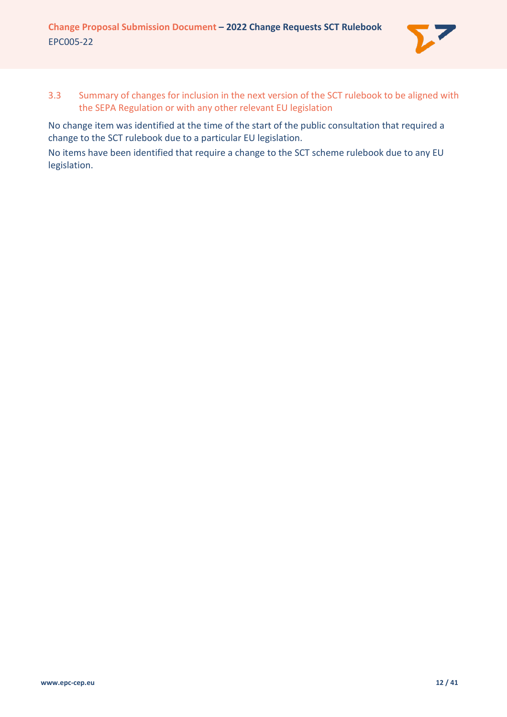

<span id="page-11-0"></span>3.3 Summary of changes for inclusion in the next version of the SCT rulebook to be aligned with the SEPA Regulation or with any other relevant EU legislation

No change item was identified at the time of the start of the public consultation that required a change to the SCT rulebook due to a particular EU legislation.

No items have been identified that require a change to the SCT scheme rulebook due to any EU legislation.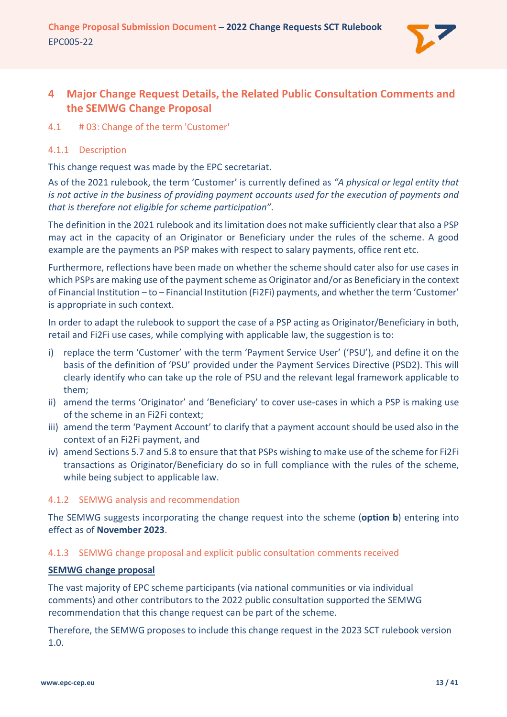

# <span id="page-12-0"></span>**4 Major Change Request Details, the Related Public Consultation Comments and the SEMWG Change Proposal**

# <span id="page-12-1"></span>4.1 # 03: Change of the term 'Customer'

## <span id="page-12-2"></span>4.1.1 Description

This change request was made by the EPC secretariat.

As of the 2021 rulebook, the term 'Customer' is currently defined as *"A physical or legal entity that is not active in the business of providing payment accounts used for the execution of payments and that is therefore not eligible for scheme participation"*.

The definition in the 2021 rulebook and its limitation does not make sufficiently clear that also a PSP may act in the capacity of an Originator or Beneficiary under the rules of the scheme. A good example are the payments an PSP makes with respect to salary payments, office rent etc.

Furthermore, reflections have been made on whether the scheme should cater also for use cases in which PSPs are making use of the payment scheme as Originator and/or as Beneficiary in the context of Financial Institution – to – Financial Institution (Fi2Fi) payments, and whether the term 'Customer' is appropriate in such context.

In order to adapt the rulebook to support the case of a PSP acting as Originator/Beneficiary in both, retail and Fi2Fi use cases, while complying with applicable law, the suggestion is to:

- i) replace the term 'Customer' with the term 'Payment Service User' ('PSU'), and define it on the basis of the definition of 'PSU' provided under the Payment Services Directive (PSD2). This will clearly identify who can take up the role of PSU and the relevant legal framework applicable to them;
- ii) amend the terms 'Originator' and 'Beneficiary' to cover use-cases in which a PSP is making use of the scheme in an Fi2Fi context;
- iii) amend the term 'Payment Account' to clarify that a payment account should be used also in the context of an Fi2Fi payment, and
- iv) amend Sections 5.7 and 5.8 to ensure that that PSPs wishing to make use of the scheme for Fi2Fi transactions as Originator/Beneficiary do so in full compliance with the rules of the scheme, while being subject to applicable law.

# <span id="page-12-3"></span>4.1.2 SEMWG analysis and recommendation

The SEMWG suggests incorporating the change request into the scheme (**option b**) entering into effect as of **November 2023**.

### <span id="page-12-4"></span>4.1.3 SEMWG change proposal and explicit public consultation comments received

### **SEMWG change proposal**

The vast majority of EPC scheme participants (via national communities or via individual comments) and other contributors to the 2022 public consultation supported the SEMWG recommendation that this change request can be part of the scheme.

Therefore, the SEMWG proposes to include this change request in the 2023 SCT rulebook version 1.0.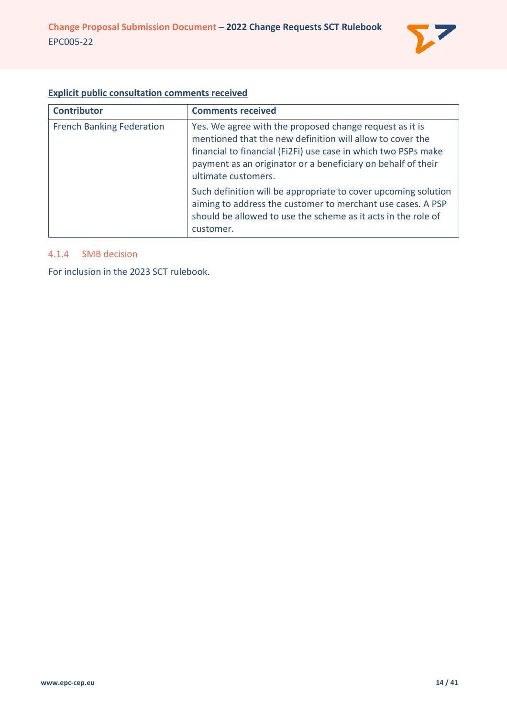

### **Explicit public consultation comments received**

| <b>Contributor</b>               | <b>Comments received</b>                                                                                                                                                                                                                                                      |
|----------------------------------|-------------------------------------------------------------------------------------------------------------------------------------------------------------------------------------------------------------------------------------------------------------------------------|
| <b>French Banking Federation</b> | Yes. We agree with the proposed change request as it is<br>mentioned that the new definition will allow to cover the<br>financial to financial (Fi2Fi) use case in which two PSPs make<br>payment as an originator or a beneficiary on behalf of their<br>ultimate customers. |
|                                  | Such definition will be appropriate to cover upcoming solution<br>aiming to address the customer to merchant use cases. A PSP<br>should be allowed to use the scheme as it acts in the role of<br>customer.                                                                   |

#### <span id="page-13-0"></span>4.1.4 SMB decision

For inclusion in the 2023 SCT rulebook.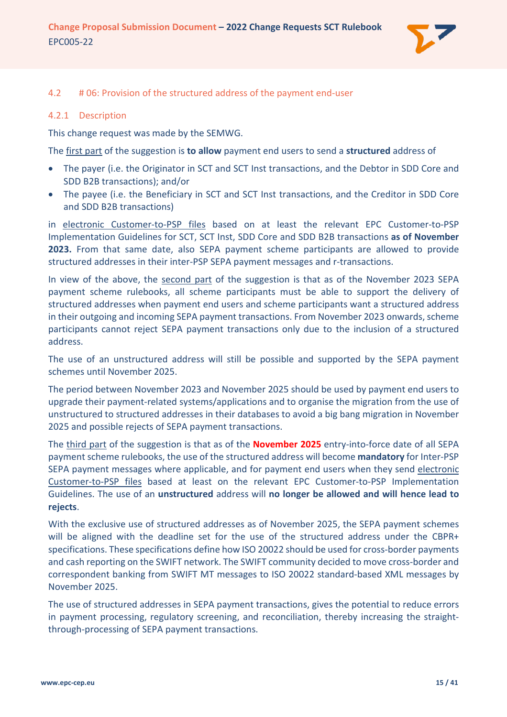

#### <span id="page-14-0"></span>4.2 # 06: Provision of the structured address of the payment end-user

#### <span id="page-14-1"></span>4.2.1 Description

This change request was made by the SEMWG.

The first part of the suggestion is **to allow** payment end users to send a **structured** address of

- The payer (i.e. the Originator in SCT and SCT Inst transactions, and the Debtor in SDD Core and SDD B2B transactions); and/or
- The payee (i.e. the Beneficiary in SCT and SCT Inst transactions, and the Creditor in SDD Core and SDD B2B transactions)

in electronic Customer-to-PSP files based on at least the relevant EPC Customer-to-PSP Implementation Guidelines for SCT, SCT Inst, SDD Core and SDD B2B transactions **as of November 2023.** From that same date, also SEPA payment scheme participants are allowed to provide structured addresses in their inter-PSP SEPA payment messages and r-transactions.

In view of the above, the second part of the suggestion is that as of the November 2023 SEPA payment scheme rulebooks, all scheme participants must be able to support the delivery of structured addresses when payment end users and scheme participants want a structured address in their outgoing and incoming SEPA payment transactions. From November 2023 onwards, scheme participants cannot reject SEPA payment transactions only due to the inclusion of a structured address.

The use of an unstructured address will still be possible and supported by the SEPA payment schemes until November 2025.

The period between November 2023 and November 2025 should be used by payment end users to upgrade their payment-related systems/applications and to organise the migration from the use of unstructured to structured addresses in their databases to avoid a big bang migration in November 2025 and possible rejects of SEPA payment transactions.

The third part of the suggestion is that as of the **November 2025** entry-into-force date of all SEPA payment scheme rulebooks, the use of the structured address will become **mandatory** for Inter-PSP SEPA payment messages where applicable, and for payment end users when they send electronic Customer-to-PSP files based at least on the relevant EPC Customer-to-PSP Implementation Guidelines. The use of an **unstructured** address will **no longer be allowed and will hence lead to rejects**.

With the exclusive use of structured addresses as of November 2025, the SEPA payment schemes will be aligned with the deadline set for the use of the structured address under the CBPR+ specifications. These specifications define how ISO 20022 should be used for cross-border payments and cash reporting on the SWIFT network. The SWIFT community decided to move cross-border and correspondent banking from SWIFT MT messages to ISO 20022 standard-based XML messages by November 2025.

The use of structured addresses in SEPA payment transactions, gives the potential to reduce errors in payment processing, regulatory screening, and reconciliation, thereby increasing the straightthrough-processing of SEPA payment transactions.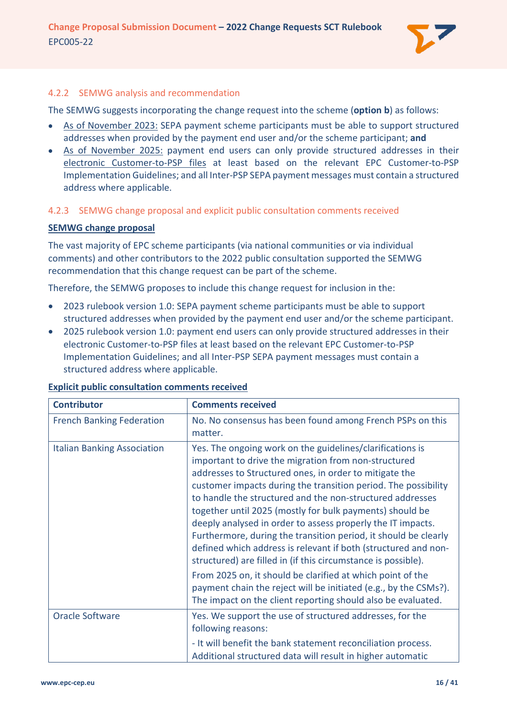

### <span id="page-15-0"></span>4.2.2 SEMWG analysis and recommendation

The SEMWG suggests incorporating the change request into the scheme (**option b**) as follows:

- As of November 2023: SEPA payment scheme participants must be able to support structured addresses when provided by the payment end user and/or the scheme participant; **and**
- As of November 2025: payment end users can only provide structured addresses in their electronic Customer-to-PSP files at least based on the relevant EPC Customer-to-PSP Implementation Guidelines; and all Inter-PSP SEPA payment messages must contain a structured address where applicable.

# <span id="page-15-1"></span>4.2.3 SEMWG change proposal and explicit public consultation comments received

### **SEMWG change proposal**

The vast majority of EPC scheme participants (via national communities or via individual comments) and other contributors to the 2022 public consultation supported the SEMWG recommendation that this change request can be part of the scheme.

Therefore, the SEMWG proposes to include this change request for inclusion in the:

- 2023 rulebook version 1.0: SEPA payment scheme participants must be able to support structured addresses when provided by the payment end user and/or the scheme participant.
- 2025 rulebook version 1.0: payment end users can only provide structured addresses in their electronic Customer-to-PSP files at least based on the relevant EPC Customer-to-PSP Implementation Guidelines; and all Inter-PSP SEPA payment messages must contain a structured address where applicable.

| <b>Contributor</b>                 | <b>Comments received</b>                                                                                                                                                                                                                                                                                                                                                                                                                                                                                                                                                                                                                                                                                                                                                                                                                      |
|------------------------------------|-----------------------------------------------------------------------------------------------------------------------------------------------------------------------------------------------------------------------------------------------------------------------------------------------------------------------------------------------------------------------------------------------------------------------------------------------------------------------------------------------------------------------------------------------------------------------------------------------------------------------------------------------------------------------------------------------------------------------------------------------------------------------------------------------------------------------------------------------|
| <b>French Banking Federation</b>   | No. No consensus has been found among French PSPs on this<br>matter.                                                                                                                                                                                                                                                                                                                                                                                                                                                                                                                                                                                                                                                                                                                                                                          |
| <b>Italian Banking Association</b> | Yes. The ongoing work on the guidelines/clarifications is<br>important to drive the migration from non-structured<br>addresses to Structured ones, in order to mitigate the<br>customer impacts during the transition period. The possibility<br>to handle the structured and the non-structured addresses<br>together until 2025 (mostly for bulk payments) should be<br>deeply analysed in order to assess properly the IT impacts.<br>Furthermore, during the transition period, it should be clearly<br>defined which address is relevant if both (structured and non-<br>structured) are filled in (if this circumstance is possible).<br>From 2025 on, it should be clarified at which point of the<br>payment chain the reject will be initiated (e.g., by the CSMs?).<br>The impact on the client reporting should also be evaluated. |
| <b>Oracle Software</b>             | Yes. We support the use of structured addresses, for the<br>following reasons:<br>- It will benefit the bank statement reconciliation process.<br>Additional structured data will result in higher automatic                                                                                                                                                                                                                                                                                                                                                                                                                                                                                                                                                                                                                                  |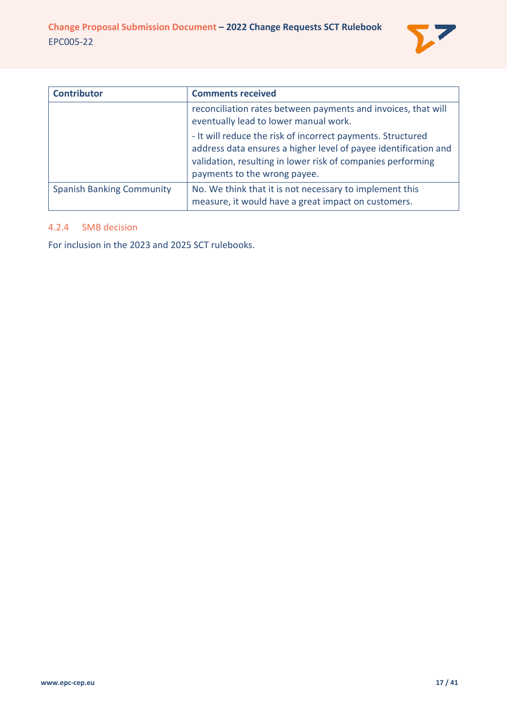

| <b>Contributor</b>               | <b>Comments received</b>                                                                                                                                                                                                      |
|----------------------------------|-------------------------------------------------------------------------------------------------------------------------------------------------------------------------------------------------------------------------------|
|                                  | reconciliation rates between payments and invoices, that will<br>eventually lead to lower manual work.                                                                                                                        |
|                                  | - It will reduce the risk of incorrect payments. Structured<br>address data ensures a higher level of payee identification and<br>validation, resulting in lower risk of companies performing<br>payments to the wrong payee. |
| <b>Spanish Banking Community</b> | No. We think that it is not necessary to implement this<br>measure, it would have a great impact on customers.                                                                                                                |

### <span id="page-16-0"></span>4.2.4 SMB decision

For inclusion in the 2023 and 2025 SCT rulebooks.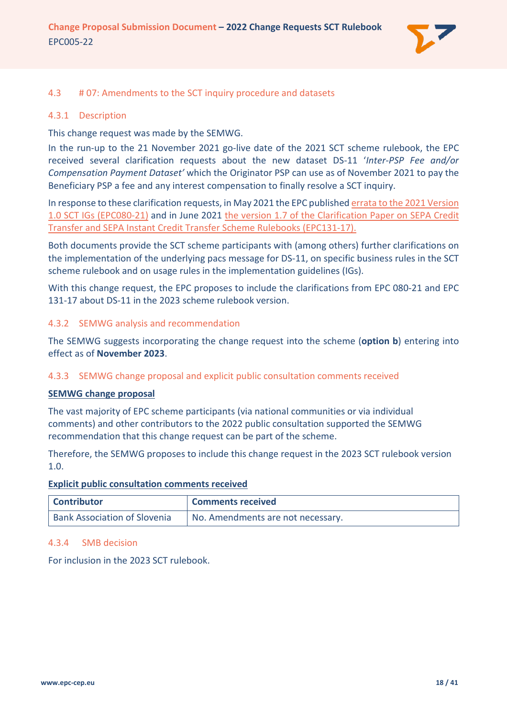

# <span id="page-17-0"></span>4.3 # 07: Amendments to the SCT inquiry procedure and datasets

#### <span id="page-17-1"></span>4.3.1 Description

This change request was made by the SEMWG.

In the run-up to the 21 November 2021 go-live date of the 2021 SCT scheme rulebook, the EPC received several clarification requests about the new dataset DS-11 '*Inter-PSP Fee and/or Compensation Payment Dataset'* which the Originator PSP can use as of November 2021 to pay the Beneficiary PSP a fee and any interest compensation to finally resolve a SCT inquiry.

In response to these clarification requests, in May 2021 the EPC publishe[d errata to the 2021 Version](https://www.europeanpaymentscouncil.eu/document-library/implementation-guidelines/sepa-credit-transfer-scheme-inter-psp-implementation)  [1.0 SCT IGs \(EPC080-21\)](https://www.europeanpaymentscouncil.eu/document-library/implementation-guidelines/sepa-credit-transfer-scheme-inter-psp-implementation) and in June 2021 [the version 1.7 of the Clarification Paper on SEPA Credit](https://www.europeanpaymentscouncil.eu/document-library/clarification-paper/clarification-paper-sepa-credit-transfer-and-sepa-instant)  [Transfer and SEPA Instant Credit Transfer Scheme Rulebooks \(EPC131-17\).](https://www.europeanpaymentscouncil.eu/document-library/clarification-paper/clarification-paper-sepa-credit-transfer-and-sepa-instant)

Both documents provide the SCT scheme participants with (among others) further clarifications on the implementation of the underlying pacs message for DS-11, on specific business rules in the SCT scheme rulebook and on usage rules in the implementation guidelines (IGs).

With this change request, the EPC proposes to include the clarifications from EPC 080-21 and EPC 131-17 about DS-11 in the 2023 scheme rulebook version.

### <span id="page-17-2"></span>4.3.2 SEMWG analysis and recommendation

The SEMWG suggests incorporating the change request into the scheme (**option b**) entering into effect as of **November 2023**.

### <span id="page-17-3"></span>4.3.3 SEMWG change proposal and explicit public consultation comments received

#### **SEMWG change proposal**

The vast majority of EPC scheme participants (via national communities or via individual comments) and other contributors to the 2022 public consultation supported the SEMWG recommendation that this change request can be part of the scheme.

Therefore, the SEMWG proposes to include this change request in the 2023 SCT rulebook version 1.0.

#### **Explicit public consultation comments received**

| <b>Contributor</b>                  | <b>Comments received</b>          |
|-------------------------------------|-----------------------------------|
| <b>Bank Association of Slovenia</b> | No. Amendments are not necessary. |

### <span id="page-17-4"></span>4.3.4 SMB decision

For inclusion in the 2023 SCT rulebook.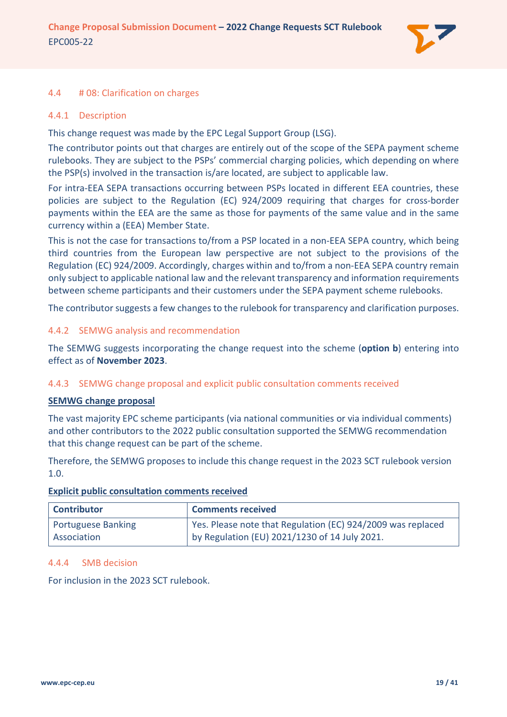

#### <span id="page-18-0"></span>4.4 # 08: Clarification on charges

#### <span id="page-18-1"></span>4.4.1 Description

This change request was made by the EPC Legal Support Group (LSG).

The contributor points out that charges are entirely out of the scope of the SEPA payment scheme rulebooks. They are subject to the PSPs' commercial charging policies, which depending on where the PSP(s) involved in the transaction is/are located, are subject to applicable law.

For intra-EEA SEPA transactions occurring between PSPs located in different EEA countries, these policies are subject to the Regulation (EC) 924/2009 requiring that charges for cross-border payments within the EEA are the same as those for payments of the same value and in the same currency within a (EEA) Member State.

This is not the case for transactions to/from a PSP located in a non-EEA SEPA country, which being third countries from the European law perspective are not subject to the provisions of the Regulation (EC) 924/2009. Accordingly, charges within and to/from a non-EEA SEPA country remain only subject to applicable national law and the relevant transparency and information requirements between scheme participants and their customers under the SEPA payment scheme rulebooks.

The contributor suggests a few changes to the rulebook for transparency and clarification purposes.

#### <span id="page-18-2"></span>4.4.2 SEMWG analysis and recommendation

The SEMWG suggests incorporating the change request into the scheme (**option b**) entering into effect as of **November 2023**.

### <span id="page-18-3"></span>4.4.3 SEMWG change proposal and explicit public consultation comments received

#### **SEMWG change proposal**

The vast majority EPC scheme participants (via national communities or via individual comments) and other contributors to the 2022 public consultation supported the SEMWG recommendation that this change request can be part of the scheme.

Therefore, the SEMWG proposes to include this change request in the 2023 SCT rulebook version 1.0.

| <b>Contributor</b>        | <b>Comments received</b>                                    |
|---------------------------|-------------------------------------------------------------|
| <b>Portuguese Banking</b> | Yes. Please note that Regulation (EC) 924/2009 was replaced |
| Association               | by Regulation (EU) 2021/1230 of 14 July 2021.               |

### **Explicit public consultation comments received**

#### <span id="page-18-4"></span>4.4.4 SMB decision

For inclusion in the 2023 SCT rulebook.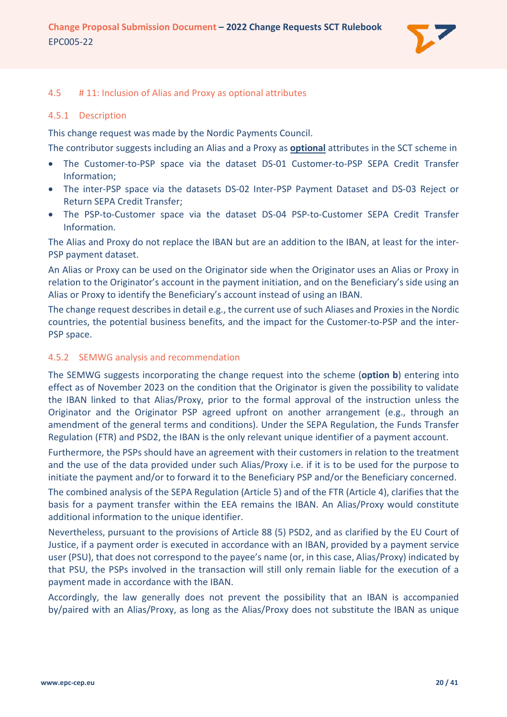

#### <span id="page-19-0"></span>4.5 # 11: Inclusion of Alias and Proxy as optional attributes

#### <span id="page-19-1"></span>4.5.1 Description

This change request was made by the Nordic Payments Council.

The contributor suggests including an Alias and a Proxy as **optional** attributes in the SCT scheme in

- The Customer-to-PSP space via the dataset DS-01 Customer-to-PSP SEPA Credit Transfer Information;
- The inter-PSP space via the datasets DS-02 Inter-PSP Payment Dataset and DS-03 Reject or Return SEPA Credit Transfer;
- The PSP-to-Customer space via the dataset DS-04 PSP-to-Customer SEPA Credit Transfer Information.

The Alias and Proxy do not replace the IBAN but are an addition to the IBAN, at least for the inter-PSP payment dataset.

An Alias or Proxy can be used on the Originator side when the Originator uses an Alias or Proxy in relation to the Originator's account in the payment initiation, and on the Beneficiary's side using an Alias or Proxy to identify the Beneficiary's account instead of using an IBAN.

The change request describes in detail e.g., the current use of such Aliases and Proxies in the Nordic countries, the potential business benefits, and the impact for the Customer-to-PSP and the inter-PSP space.

#### <span id="page-19-2"></span>4.5.2 SEMWG analysis and recommendation

The SEMWG suggests incorporating the change request into the scheme (**option b**) entering into effect as of November 2023 on the condition that the Originator is given the possibility to validate the IBAN linked to that Alias/Proxy, prior to the formal approval of the instruction unless the Originator and the Originator PSP agreed upfront on another arrangement (e.g., through an amendment of the general terms and conditions). Under the SEPA Regulation, the Funds Transfer Regulation (FTR) and PSD2, the IBAN is the only relevant unique identifier of a payment account.

Furthermore, the PSPs should have an agreement with their customers in relation to the treatment and the use of the data provided under such Alias/Proxy i.e. if it is to be used for the purpose to initiate the payment and/or to forward it to the Beneficiary PSP and/or the Beneficiary concerned.

The combined analysis of the SEPA Regulation (Article 5) and of the FTR (Article 4), clarifies that the basis for a payment transfer within the EEA remains the IBAN. An Alias/Proxy would constitute additional information to the unique identifier.

Nevertheless, pursuant to the provisions of Article 88 (5) PSD2, and as clarified by the EU Court of Justice, if a payment order is executed in accordance with an IBAN, provided by a payment service user (PSU), that does not correspond to the payee's name (or, in this case, Alias/Proxy) indicated by that PSU, the PSPs involved in the transaction will still only remain liable for the execution of a payment made in accordance with the IBAN.

Accordingly, the law generally does not prevent the possibility that an IBAN is accompanied by/paired with an Alias/Proxy, as long as the Alias/Proxy does not substitute the IBAN as unique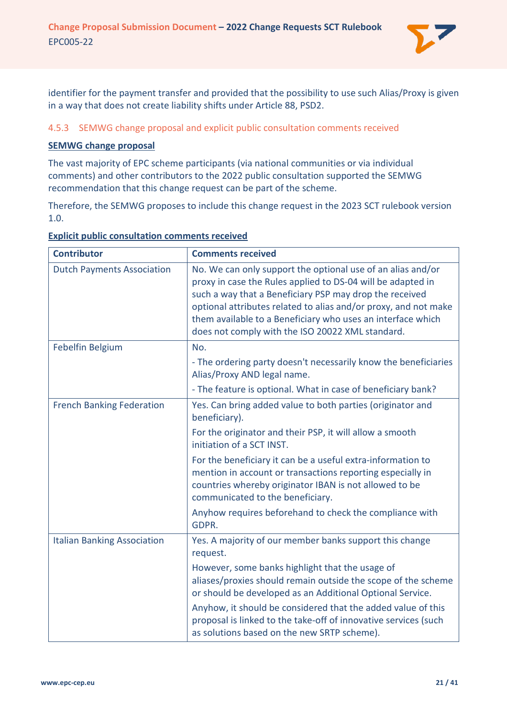

identifier for the payment transfer and provided that the possibility to use such Alias/Proxy is given in a way that does not create liability shifts under Article 88, PSD2.

# <span id="page-20-0"></span>4.5.3 SEMWG change proposal and explicit public consultation comments received

## **SEMWG change proposal**

The vast majority of EPC scheme participants (via national communities or via individual comments) and other contributors to the 2022 public consultation supported the SEMWG recommendation that this change request can be part of the scheme.

Therefore, the SEMWG proposes to include this change request in the 2023 SCT rulebook version 1.0.

| <b>Contributor</b>                 | <b>Comments received</b>                                                                                                                                                                                                                                                                                                                                                    |
|------------------------------------|-----------------------------------------------------------------------------------------------------------------------------------------------------------------------------------------------------------------------------------------------------------------------------------------------------------------------------------------------------------------------------|
| <b>Dutch Payments Association</b>  | No. We can only support the optional use of an alias and/or<br>proxy in case the Rules applied to DS-04 will be adapted in<br>such a way that a Beneficiary PSP may drop the received<br>optional attributes related to alias and/or proxy, and not make<br>them available to a Beneficiary who uses an interface which<br>does not comply with the ISO 20022 XML standard. |
| Febelfin Belgium                   | No.                                                                                                                                                                                                                                                                                                                                                                         |
|                                    | - The ordering party doesn't necessarily know the beneficiaries<br>Alias/Proxy AND legal name.                                                                                                                                                                                                                                                                              |
|                                    | - The feature is optional. What in case of beneficiary bank?                                                                                                                                                                                                                                                                                                                |
| <b>French Banking Federation</b>   | Yes. Can bring added value to both parties (originator and<br>beneficiary).                                                                                                                                                                                                                                                                                                 |
|                                    | For the originator and their PSP, it will allow a smooth<br>initiation of a SCT INST.                                                                                                                                                                                                                                                                                       |
|                                    | For the beneficiary it can be a useful extra-information to<br>mention in account or transactions reporting especially in<br>countries whereby originator IBAN is not allowed to be<br>communicated to the beneficiary.                                                                                                                                                     |
|                                    | Anyhow requires beforehand to check the compliance with<br>GDPR.                                                                                                                                                                                                                                                                                                            |
| <b>Italian Banking Association</b> | Yes. A majority of our member banks support this change<br>request.                                                                                                                                                                                                                                                                                                         |
|                                    | However, some banks highlight that the usage of<br>aliases/proxies should remain outside the scope of the scheme<br>or should be developed as an Additional Optional Service.<br>Anyhow, it should be considered that the added value of this<br>proposal is linked to the take-off of innovative services (such<br>as solutions based on the new SRTP scheme).             |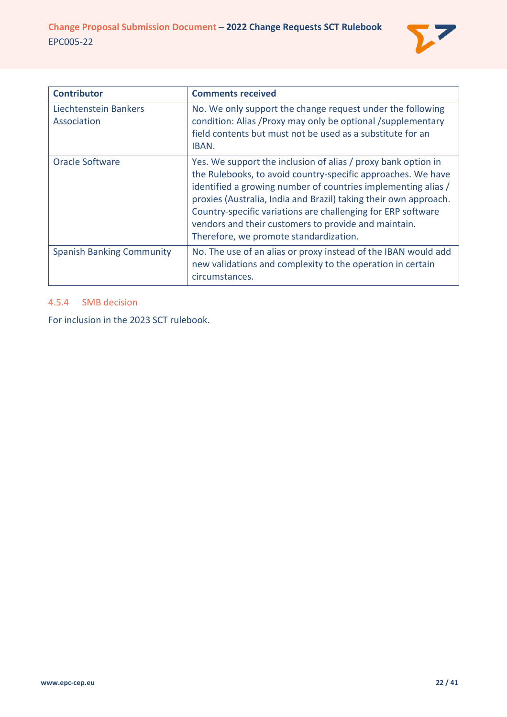

| <b>Contributor</b>                   | <b>Comments received</b>                                                                                                                                                                                                                                                                                                                                                                                                             |
|--------------------------------------|--------------------------------------------------------------------------------------------------------------------------------------------------------------------------------------------------------------------------------------------------------------------------------------------------------------------------------------------------------------------------------------------------------------------------------------|
| Liechtenstein Bankers<br>Association | No. We only support the change request under the following<br>condition: Alias / Proxy may only be optional / supplementary<br>field contents but must not be used as a substitute for an<br>IBAN.                                                                                                                                                                                                                                   |
| Oracle Software                      | Yes. We support the inclusion of alias / proxy bank option in<br>the Rulebooks, to avoid country-specific approaches. We have<br>identified a growing number of countries implementing alias /<br>proxies (Australia, India and Brazil) taking their own approach.<br>Country-specific variations are challenging for ERP software<br>vendors and their customers to provide and maintain.<br>Therefore, we promote standardization. |
| <b>Spanish Banking Community</b>     | No. The use of an alias or proxy instead of the IBAN would add<br>new validations and complexity to the operation in certain<br>circumstances.                                                                                                                                                                                                                                                                                       |

# <span id="page-21-0"></span>4.5.4 SMB decision

For inclusion in the 2023 SCT rulebook.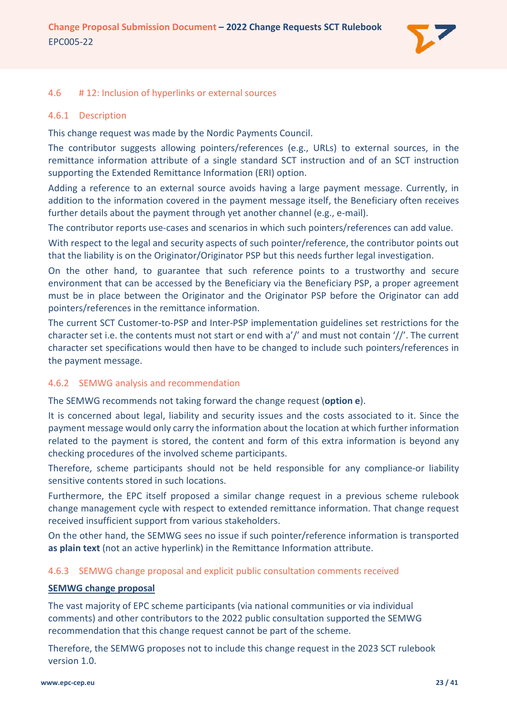

## <span id="page-22-0"></span>4.6 # 12: Inclusion of hyperlinks or external sources

### <span id="page-22-1"></span>4.6.1 Description

This change request was made by the Nordic Payments Council.

The contributor suggests allowing pointers/references (e.g., URLs) to external sources, in the remittance information attribute of a single standard SCT instruction and of an SCT instruction supporting the Extended Remittance Information (ERI) option.

Adding a reference to an external source avoids having a large payment message. Currently, in addition to the information covered in the payment message itself, the Beneficiary often receives further details about the payment through yet another channel (e.g., e-mail).

The contributor reports use-cases and scenarios in which such pointers/references can add value.

With respect to the legal and security aspects of such pointer/reference, the contributor points out that the liability is on the Originator/Originator PSP but this needs further legal investigation.

On the other hand, to guarantee that such reference points to a trustworthy and secure environment that can be accessed by the Beneficiary via the Beneficiary PSP, a proper agreement must be in place between the Originator and the Originator PSP before the Originator can add pointers/references in the remittance information.

The current SCT Customer-to-PSP and Inter-PSP implementation guidelines set restrictions for the character set i.e. the contents must not start or end with a'/' and must not contain '//'. The current character set specifications would then have to be changed to include such pointers/references in the payment message.

### <span id="page-22-2"></span>4.6.2 SEMWG analysis and recommendation

The SEMWG recommends not taking forward the change request (**option e**).

It is concerned about legal, liability and security issues and the costs associated to it. Since the payment message would only carry the information about the location at which further information related to the payment is stored, the content and form of this extra information is beyond any checking procedures of the involved scheme participants.

Therefore, scheme participants should not be held responsible for any compliance-or liability sensitive contents stored in such locations.

Furthermore, the EPC itself proposed a similar change request in a previous scheme rulebook change management cycle with respect to extended remittance information. That change request received insufficient support from various stakeholders.

On the other hand, the SEMWG sees no issue if such pointer/reference information is transported **as plain text** (not an active hyperlink) in the Remittance Information attribute.

### <span id="page-22-3"></span>4.6.3 SEMWG change proposal and explicit public consultation comments received

### **SEMWG change proposal**

The vast majority of EPC scheme participants (via national communities or via individual comments) and other contributors to the 2022 public consultation supported the SEMWG recommendation that this change request cannot be part of the scheme.

Therefore, the SEMWG proposes not to include this change request in the 2023 SCT rulebook version 1.0.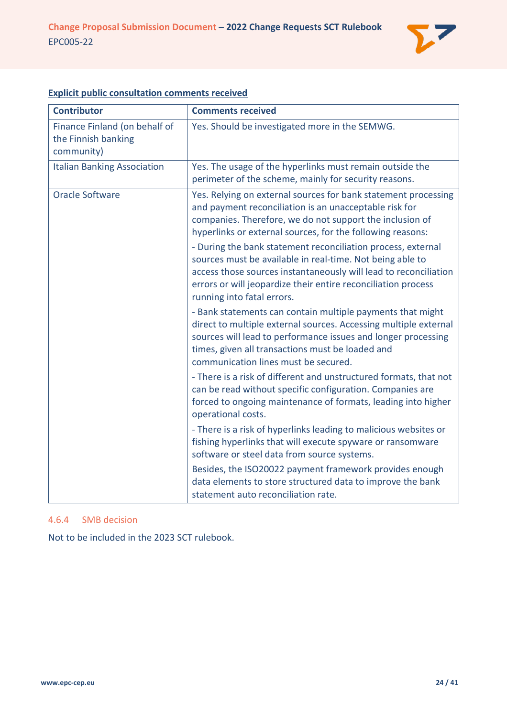

| <b>Contributor</b>                                                 | <b>Comments received</b>                                                                                                                                                                                                                                                                     |
|--------------------------------------------------------------------|----------------------------------------------------------------------------------------------------------------------------------------------------------------------------------------------------------------------------------------------------------------------------------------------|
| Finance Finland (on behalf of<br>the Finnish banking<br>community) | Yes. Should be investigated more in the SEMWG.                                                                                                                                                                                                                                               |
| <b>Italian Banking Association</b>                                 | Yes. The usage of the hyperlinks must remain outside the<br>perimeter of the scheme, mainly for security reasons.                                                                                                                                                                            |
| <b>Oracle Software</b>                                             | Yes. Relying on external sources for bank statement processing<br>and payment reconciliation is an unacceptable risk for<br>companies. Therefore, we do not support the inclusion of<br>hyperlinks or external sources, for the following reasons:                                           |
|                                                                    | - During the bank statement reconciliation process, external<br>sources must be available in real-time. Not being able to<br>access those sources instantaneously will lead to reconciliation<br>errors or will jeopardize their entire reconciliation process<br>running into fatal errors. |
|                                                                    | - Bank statements can contain multiple payments that might<br>direct to multiple external sources. Accessing multiple external<br>sources will lead to performance issues and longer processing<br>times, given all transactions must be loaded and<br>communication lines must be secured.  |
|                                                                    | - There is a risk of different and unstructured formats, that not<br>can be read without specific configuration. Companies are<br>forced to ongoing maintenance of formats, leading into higher<br>operational costs.                                                                        |
|                                                                    | - There is a risk of hyperlinks leading to malicious websites or<br>fishing hyperlinks that will execute spyware or ransomware<br>software or steel data from source systems.                                                                                                                |
|                                                                    | Besides, the ISO20022 payment framework provides enough<br>data elements to store structured data to improve the bank<br>statement auto reconciliation rate.                                                                                                                                 |

# **Explicit public consultation comments received**

# <span id="page-23-0"></span>4.6.4 SMB decision

Not to be included in the 2023 SCT rulebook.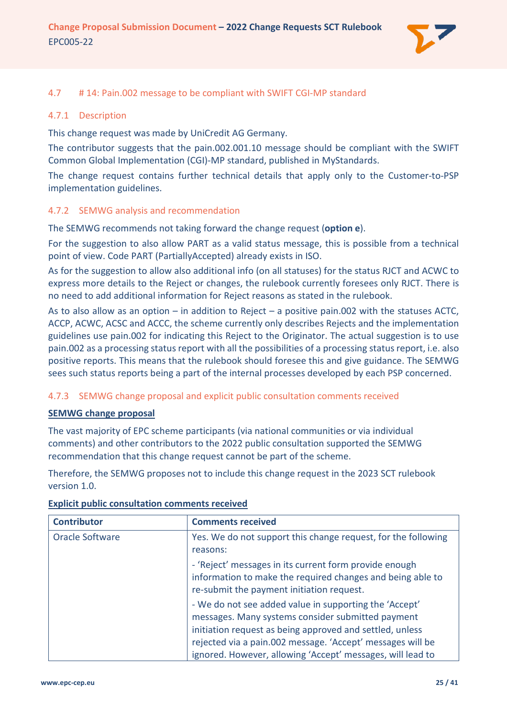

## <span id="page-24-0"></span>4.7 # 14: Pain.002 message to be compliant with SWIFT CGI-MP standard

#### <span id="page-24-1"></span>4.7.1 Description

This change request was made by UniCredit AG Germany.

The contributor suggests that the pain.002.001.10 message should be compliant with the SWIFT Common Global Implementation (CGI)-MP standard, published in MyStandards.

The change request contains further technical details that apply only to the Customer-to-PSP implementation guidelines.

#### <span id="page-24-2"></span>4.7.2 SEMWG analysis and recommendation

The SEMWG recommends not taking forward the change request (**option e**).

For the suggestion to also allow PART as a valid status message, this is possible from a technical point of view. Code PART (PartiallyAccepted) already exists in ISO.

As for the suggestion to allow also additional info (on all statuses) for the status RJCT and ACWC to express more details to the Reject or changes, the rulebook currently foresees only RJCT. There is no need to add additional information for Reject reasons as stated in the rulebook.

As to also allow as an option – in addition to Reject – a positive pain.002 with the statuses ACTC, ACCP, ACWC, ACSC and ACCC, the scheme currently only describes Rejects and the implementation guidelines use pain.002 for indicating this Reject to the Originator. The actual suggestion is to use pain.002 as a processing status report with all the possibilities of a processing status report, i.e. also positive reports. This means that the rulebook should foresee this and give guidance. The SEMWG sees such status reports being a part of the internal processes developed by each PSP concerned.

### <span id="page-24-3"></span>4.7.3 SEMWG change proposal and explicit public consultation comments received

#### **SEMWG change proposal**

The vast majority of EPC scheme participants (via national communities or via individual comments) and other contributors to the 2022 public consultation supported the SEMWG recommendation that this change request cannot be part of the scheme.

Therefore, the SEMWG proposes not to include this change request in the 2023 SCT rulebook version 1.0.

| <b>Contributor</b> | <b>Comments received</b>                                                                                                                                          |
|--------------------|-------------------------------------------------------------------------------------------------------------------------------------------------------------------|
| Oracle Software    | Yes. We do not support this change request, for the following                                                                                                     |
|                    | reasons:                                                                                                                                                          |
|                    | - 'Reject' messages in its current form provide enough<br>information to make the required changes and being able to<br>re-submit the payment initiation request. |
|                    | - We do not see added value in supporting the 'Accept'                                                                                                            |
|                    | messages. Many systems consider submitted payment                                                                                                                 |
|                    | initiation request as being approved and settled, unless                                                                                                          |
|                    | rejected via a pain.002 message. 'Accept' messages will be                                                                                                        |
|                    | ignored. However, allowing 'Accept' messages, will lead to                                                                                                        |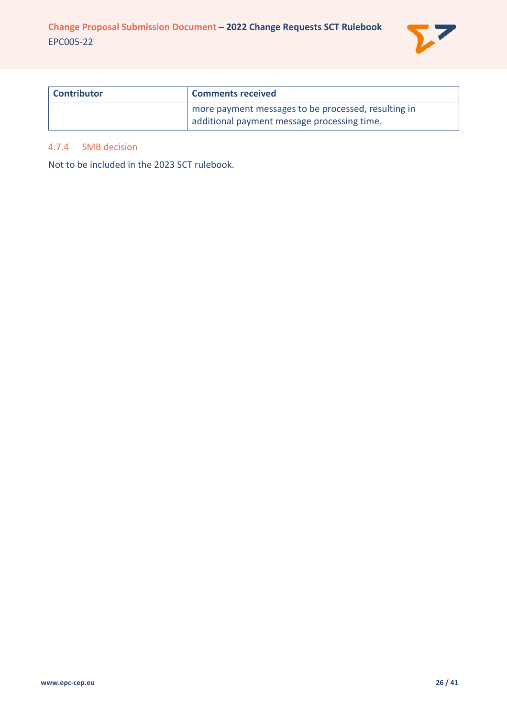

| <b>Contributor</b> | <b>Comments received</b>                                                                           |
|--------------------|----------------------------------------------------------------------------------------------------|
|                    | more payment messages to be processed, resulting in<br>additional payment message processing time. |

## <span id="page-25-0"></span>4.7.4 SMB decision

Not to be included in the 2023 SCT rulebook.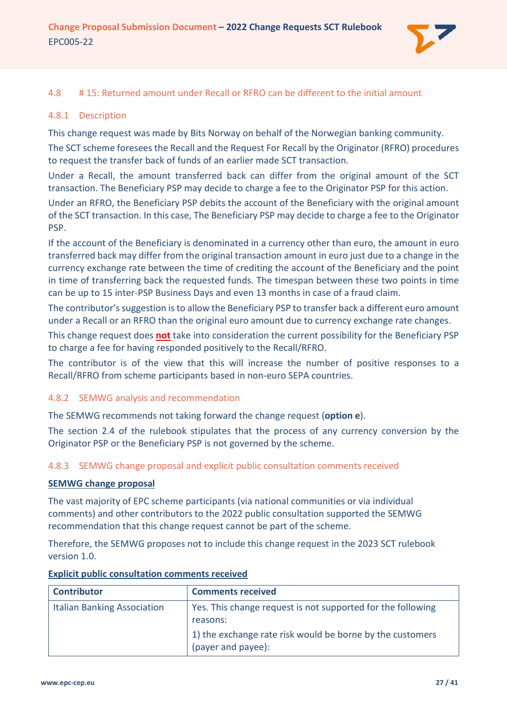

## <span id="page-26-0"></span>4.8 # 15: Returned amount under Recall or RFRO can be different to the initial amount

## <span id="page-26-1"></span>4.8.1 Description

This change request was made by Bits Norway on behalf of the Norwegian banking community. The SCT scheme foresees the Recall and the Request For Recall by the Originator (RFRO) procedures to request the transfer back of funds of an earlier made SCT transaction.

Under a Recall, the amount transferred back can differ from the original amount of the SCT transaction. The Beneficiary PSP may decide to charge a fee to the Originator PSP for this action.

Under an RFRO, the Beneficiary PSP debits the account of the Beneficiary with the original amount of the SCT transaction. In this case, The Beneficiary PSP may decide to charge a fee to the Originator PSP.

If the account of the Beneficiary is denominated in a currency other than euro, the amount in euro transferred back may differ from the original transaction amount in euro just due to a change in the currency exchange rate between the time of crediting the account of the Beneficiary and the point in time of transferring back the requested funds. The timespan between these two points in time can be up to 15 inter-PSP Business Days and even 13 months in case of a fraud claim.

The contributor's suggestion is to allow the Beneficiary PSP to transfer back a different euro amount under a Recall or an RFRO than the original euro amount due to currency exchange rate changes.

This change request does **not** take into consideration the current possibility for the Beneficiary PSP to charge a fee for having responded positively to the Recall/RFRO.

The contributor is of the view that this will increase the number of positive responses to a Recall/RFRO from scheme participants based in non-euro SEPA countries.

### <span id="page-26-2"></span>4.8.2 SEMWG analysis and recommendation

The SEMWG recommends not taking forward the change request (**option e**).

The section 2.4 of the rulebook stipulates that the process of any currency conversion by the Originator PSP or the Beneficiary PSP is not governed by the scheme.

### <span id="page-26-3"></span>4.8.3 SEMWG change proposal and explicit public consultation comments received

### **SEMWG change proposal**

The vast majority of EPC scheme participants (via national communities or via individual comments) and other contributors to the 2022 public consultation supported the SEMWG recommendation that this change request cannot be part of the scheme.

Therefore, the SEMWG proposes not to include this change request in the 2023 SCT rulebook version 1.0.

| <b>Contributor</b>                 | <b>Comments received</b>                                                        |
|------------------------------------|---------------------------------------------------------------------------------|
| <b>Italian Banking Association</b> | Yes. This change request is not supported for the following<br>reasons:         |
|                                    | 1) the exchange rate risk would be borne by the customers<br>(payer and payee): |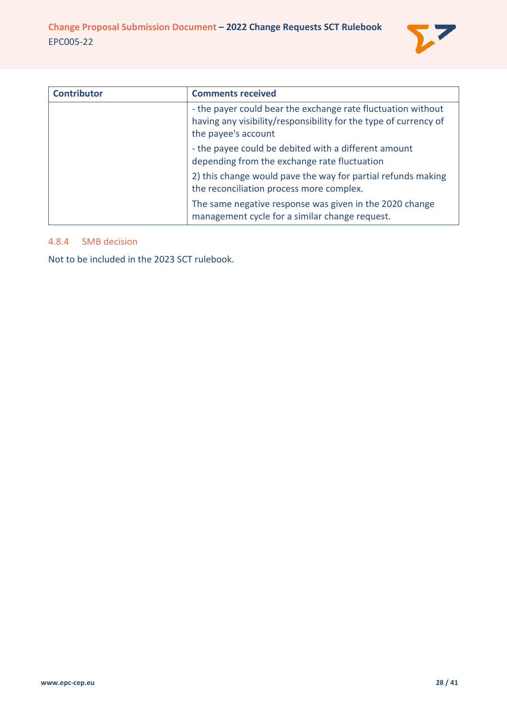

| <b>Contributor</b> | <b>Comments received</b>                                                                                                                                |
|--------------------|---------------------------------------------------------------------------------------------------------------------------------------------------------|
|                    | - the payer could bear the exchange rate fluctuation without<br>having any visibility/responsibility for the type of currency of<br>the payee's account |
|                    | - the payee could be debited with a different amount<br>depending from the exchange rate fluctuation                                                    |
|                    | 2) this change would pave the way for partial refunds making<br>the reconciliation process more complex.                                                |
|                    | The same negative response was given in the 2020 change<br>management cycle for a similar change request.                                               |

## <span id="page-27-0"></span>4.8.4 SMB decision

Not to be included in the 2023 SCT rulebook.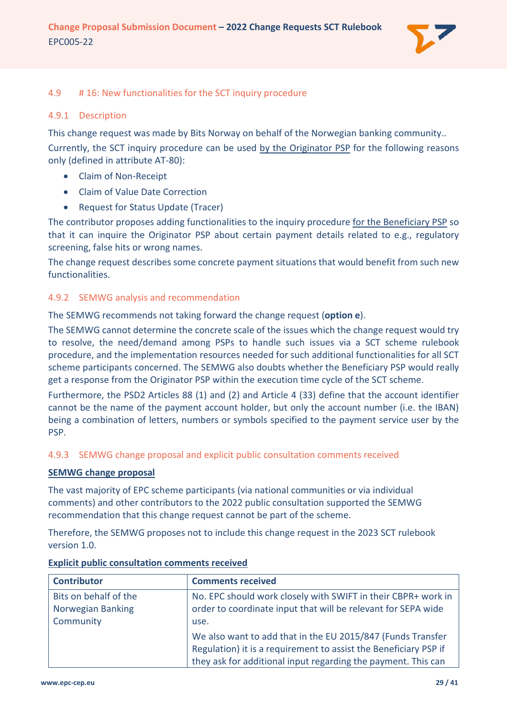

# <span id="page-28-0"></span>4.9 # 16: New functionalities for the SCT inquiry procedure

### <span id="page-28-1"></span>4.9.1 Description

This change request was made by Bits Norway on behalf of the Norwegian banking community.. Currently, the SCT inquiry procedure can be used by the Originator PSP for the following reasons only (defined in attribute AT-80):

- Claim of Non-Receipt
- Claim of Value Date Correction
- Request for Status Update (Tracer)

The contributor proposes adding functionalities to the inquiry procedure for the Beneficiary PSP so that it can inquire the Originator PSP about certain payment details related to e.g., regulatory screening, false hits or wrong names.

The change request describes some concrete payment situations that would benefit from such new functionalities.

# <span id="page-28-2"></span>4.9.2 SEMWG analysis and recommendation

The SEMWG recommends not taking forward the change request (**option e**).

The SEMWG cannot determine the concrete scale of the issues which the change request would try to resolve, the need/demand among PSPs to handle such issues via a SCT scheme rulebook procedure, and the implementation resources needed for such additional functionalities for all SCT scheme participants concerned. The SEMWG also doubts whether the Beneficiary PSP would really get a response from the Originator PSP within the execution time cycle of the SCT scheme.

Furthermore, the PSD2 Articles 88 (1) and (2) and Article 4 (33) define that the account identifier cannot be the name of the payment account holder, but only the account number (i.e. the IBAN) being a combination of letters, numbers or symbols specified to the payment service user by the PSP.

# <span id="page-28-3"></span>4.9.3 SEMWG change proposal and explicit public consultation comments received

### **SEMWG change proposal**

The vast majority of EPC scheme participants (via national communities or via individual comments) and other contributors to the 2022 public consultation supported the SEMWG recommendation that this change request cannot be part of the scheme.

Therefore, the SEMWG proposes not to include this change request in the 2023 SCT rulebook version 1.0.

| <b>Contributor</b>    | <b>Comments received</b>                                         |
|-----------------------|------------------------------------------------------------------|
| Bits on behalf of the | No. EPC should work closely with SWIFT in their CBPR+ work in    |
| Norwegian Banking     | order to coordinate input that will be relevant for SEPA wide    |
| Community             | use.                                                             |
|                       | We also want to add that in the EU 2015/847 (Funds Transfer      |
|                       | Regulation) it is a requirement to assist the Beneficiary PSP if |
|                       | they ask for additional input regarding the payment. This can    |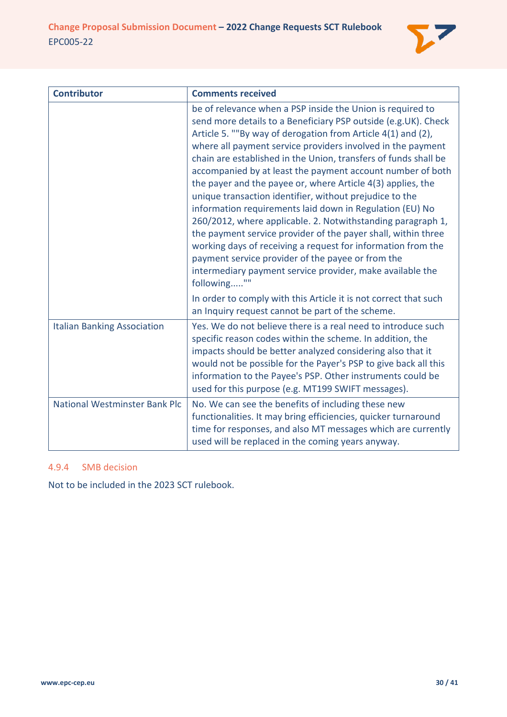

| <b>Contributor</b>                   | <b>Comments received</b>                                                                                                                                                                                                                                                                                                                                                                                                                                                                                                                                                                                                                                                                                                                                                                                                                                                                                             |
|--------------------------------------|----------------------------------------------------------------------------------------------------------------------------------------------------------------------------------------------------------------------------------------------------------------------------------------------------------------------------------------------------------------------------------------------------------------------------------------------------------------------------------------------------------------------------------------------------------------------------------------------------------------------------------------------------------------------------------------------------------------------------------------------------------------------------------------------------------------------------------------------------------------------------------------------------------------------|
|                                      | be of relevance when a PSP inside the Union is required to<br>send more details to a Beneficiary PSP outside (e.g. UK). Check<br>Article 5. ""By way of derogation from Article 4(1) and (2),<br>where all payment service providers involved in the payment<br>chain are established in the Union, transfers of funds shall be<br>accompanied by at least the payment account number of both<br>the payer and the payee or, where Article 4(3) applies, the<br>unique transaction identifier, without prejudice to the<br>information requirements laid down in Regulation (EU) No<br>260/2012, where applicable. 2. Notwithstanding paragraph 1,<br>the payment service provider of the payer shall, within three<br>working days of receiving a request for information from the<br>payment service provider of the payee or from the<br>intermediary payment service provider, make available the<br>following"" |
|                                      | In order to comply with this Article it is not correct that such<br>an Inquiry request cannot be part of the scheme.                                                                                                                                                                                                                                                                                                                                                                                                                                                                                                                                                                                                                                                                                                                                                                                                 |
| <b>Italian Banking Association</b>   | Yes. We do not believe there is a real need to introduce such<br>specific reason codes within the scheme. In addition, the<br>impacts should be better analyzed considering also that it<br>would not be possible for the Payer's PSP to give back all this<br>information to the Payee's PSP. Other instruments could be<br>used for this purpose (e.g. MT199 SWIFT messages).                                                                                                                                                                                                                                                                                                                                                                                                                                                                                                                                      |
| <b>National Westminster Bank Plc</b> | No. We can see the benefits of including these new<br>functionalities. It may bring efficiencies, quicker turnaround<br>time for responses, and also MT messages which are currently<br>used will be replaced in the coming years anyway.                                                                                                                                                                                                                                                                                                                                                                                                                                                                                                                                                                                                                                                                            |

# <span id="page-29-0"></span>4.9.4 SMB decision

Not to be included in the 2023 SCT rulebook.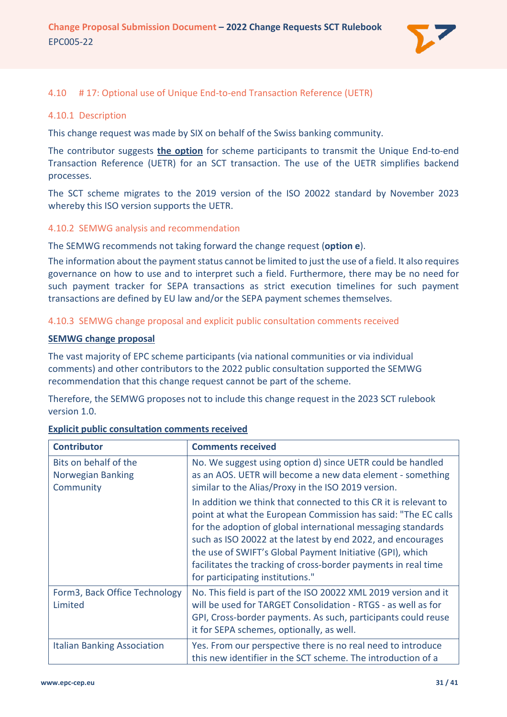

### <span id="page-30-0"></span>4.10 # 17: Optional use of Unique End-to-end Transaction Reference (UETR)

#### <span id="page-30-1"></span>4.10.1 Description

This change request was made by SIX on behalf of the Swiss banking community.

The contributor suggests **the option** for scheme participants to transmit the Unique End-to-end Transaction Reference (UETR) for an SCT transaction. The use of the UETR simplifies backend processes.

The SCT scheme migrates to the 2019 version of the ISO 20022 standard by November 2023 whereby this ISO version supports the UETR.

#### <span id="page-30-2"></span>4.10.2 SEMWG analysis and recommendation

The SEMWG recommends not taking forward the change request (**option e**).

The information about the payment status cannot be limited to just the use of a field. It also requires governance on how to use and to interpret such a field. Furthermore, there may be no need for such payment tracker for SEPA transactions as strict execution timelines for such payment transactions are defined by EU law and/or the SEPA payment schemes themselves.

### <span id="page-30-3"></span>4.10.3 SEMWG change proposal and explicit public consultation comments received

#### **SEMWG change proposal**

The vast majority of EPC scheme participants (via national communities or via individual comments) and other contributors to the 2022 public consultation supported the SEMWG recommendation that this change request cannot be part of the scheme.

Therefore, the SEMWG proposes not to include this change request in the 2023 SCT rulebook version 1.0.

| <b>Contributor</b>                                      | <b>Comments received</b>                                                                                                                                                                                                                                                                                                                                                                                                            |
|---------------------------------------------------------|-------------------------------------------------------------------------------------------------------------------------------------------------------------------------------------------------------------------------------------------------------------------------------------------------------------------------------------------------------------------------------------------------------------------------------------|
| Bits on behalf of the<br>Norwegian Banking<br>Community | No. We suggest using option d) since UETR could be handled<br>as an AOS. UETR will become a new data element - something<br>similar to the Alias/Proxy in the ISO 2019 version.                                                                                                                                                                                                                                                     |
|                                                         | In addition we think that connected to this CR it is relevant to<br>point at what the European Commission has said: "The EC calls<br>for the adoption of global international messaging standards<br>such as ISO 20022 at the latest by end 2022, and encourages<br>the use of SWIFT's Global Payment Initiative (GPI), which<br>facilitates the tracking of cross-border payments in real time<br>for participating institutions." |
| Form3, Back Office Technology<br>Limited                | No. This field is part of the ISO 20022 XML 2019 version and it<br>will be used for TARGET Consolidation - RTGS - as well as for<br>GPI, Cross-border payments. As such, participants could reuse<br>it for SEPA schemes, optionally, as well.                                                                                                                                                                                      |
| <b>Italian Banking Association</b>                      | Yes. From our perspective there is no real need to introduce<br>this new identifier in the SCT scheme. The introduction of a                                                                                                                                                                                                                                                                                                        |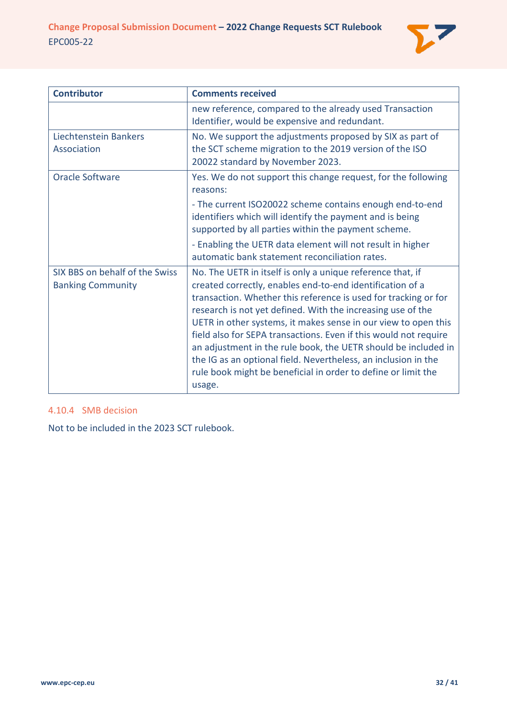

| <b>Contributor</b>                                         | <b>Comments received</b>                                                                                                                                                                                                                                                                                                                                                                                                                                                                                                                                                                                       |
|------------------------------------------------------------|----------------------------------------------------------------------------------------------------------------------------------------------------------------------------------------------------------------------------------------------------------------------------------------------------------------------------------------------------------------------------------------------------------------------------------------------------------------------------------------------------------------------------------------------------------------------------------------------------------------|
|                                                            | new reference, compared to the already used Transaction<br>Identifier, would be expensive and redundant.                                                                                                                                                                                                                                                                                                                                                                                                                                                                                                       |
| Liechtenstein Bankers<br>Association                       | No. We support the adjustments proposed by SIX as part of<br>the SCT scheme migration to the 2019 version of the ISO<br>20022 standard by November 2023.                                                                                                                                                                                                                                                                                                                                                                                                                                                       |
| <b>Oracle Software</b>                                     | Yes. We do not support this change request, for the following<br>reasons:                                                                                                                                                                                                                                                                                                                                                                                                                                                                                                                                      |
|                                                            | - The current ISO20022 scheme contains enough end-to-end<br>identifiers which will identify the payment and is being<br>supported by all parties within the payment scheme.                                                                                                                                                                                                                                                                                                                                                                                                                                    |
|                                                            | - Enabling the UETR data element will not result in higher<br>automatic bank statement reconciliation rates.                                                                                                                                                                                                                                                                                                                                                                                                                                                                                                   |
| SIX BBS on behalf of the Swiss<br><b>Banking Community</b> | No. The UETR in itself is only a unique reference that, if<br>created correctly, enables end-to-end identification of a<br>transaction. Whether this reference is used for tracking or for<br>research is not yet defined. With the increasing use of the<br>UETR in other systems, it makes sense in our view to open this<br>field also for SEPA transactions. Even if this would not require<br>an adjustment in the rule book, the UETR should be included in<br>the IG as an optional field. Nevertheless, an inclusion in the<br>rule book might be beneficial in order to define or limit the<br>usage. |

### <span id="page-31-0"></span>4.10.4 SMB decision

Not to be included in the 2023 SCT rulebook.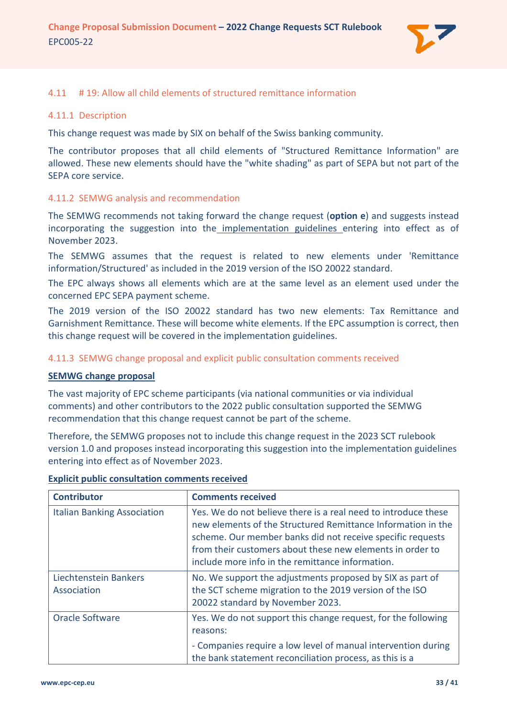

### <span id="page-32-0"></span>4.11 # 19: Allow all child elements of structured remittance information

#### <span id="page-32-1"></span>4.11.1 Description

This change request was made by SIX on behalf of the Swiss banking community.

The contributor proposes that all child elements of "Structured Remittance Information" are allowed. These new elements should have the "white shading" as part of SEPA but not part of the SEPA core service.

#### <span id="page-32-2"></span>4.11.2 SEMWG analysis and recommendation

The SEMWG recommends not taking forward the change request (**option e**) and suggests instead incorporating the suggestion into the implementation guidelines entering into effect as of November 2023.

The SEMWG assumes that the request is related to new elements under 'Remittance information/Structured' as included in the 2019 version of the ISO 20022 standard.

The EPC always shows all elements which are at the same level as an element used under the concerned EPC SEPA payment scheme.

The 2019 version of the ISO 20022 standard has two new elements: Tax Remittance and Garnishment Remittance. These will become white elements. If the EPC assumption is correct, then this change request will be covered in the implementation guidelines.

#### <span id="page-32-3"></span>4.11.3 SEMWG change proposal and explicit public consultation comments received

#### **SEMWG change proposal**

The vast majority of EPC scheme participants (via national communities or via individual comments) and other contributors to the 2022 public consultation supported the SEMWG recommendation that this change request cannot be part of the scheme.

Therefore, the SEMWG proposes not to include this change request in the 2023 SCT rulebook version 1.0 and proposes instead incorporating this suggestion into the implementation guidelines entering into effect as of November 2023.

| <b>Contributor</b>                   | <b>Comments received</b>                                                                                                                                                                                                                                                                                      |
|--------------------------------------|---------------------------------------------------------------------------------------------------------------------------------------------------------------------------------------------------------------------------------------------------------------------------------------------------------------|
| <b>Italian Banking Association</b>   | Yes. We do not believe there is a real need to introduce these<br>new elements of the Structured Remittance Information in the<br>scheme. Our member banks did not receive specific requests<br>from their customers about these new elements in order to<br>include more info in the remittance information. |
| Liechtenstein Bankers<br>Association | No. We support the adjustments proposed by SIX as part of<br>the SCT scheme migration to the 2019 version of the ISO<br>20022 standard by November 2023.                                                                                                                                                      |
| <b>Oracle Software</b>               | Yes. We do not support this change request, for the following<br>reasons:<br>- Companies require a low level of manual intervention during<br>the bank statement reconciliation process, as this is a                                                                                                         |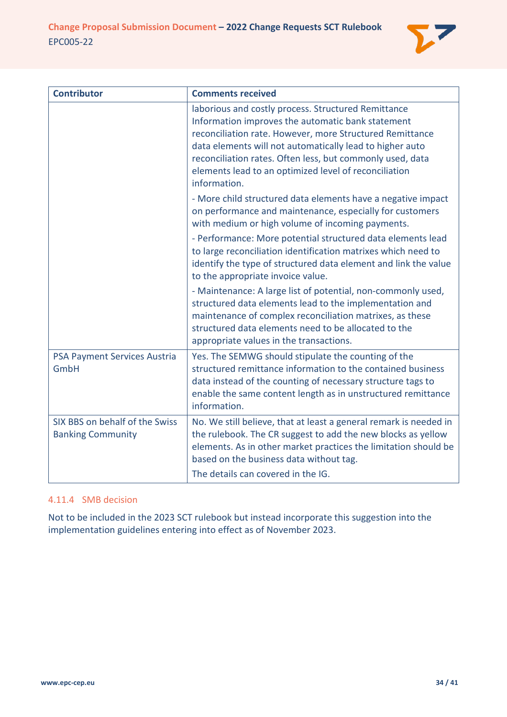

| <b>Contributor</b>                                         | <b>Comments received</b>                                                                                                                                                                                                                                                                                                                                               |
|------------------------------------------------------------|------------------------------------------------------------------------------------------------------------------------------------------------------------------------------------------------------------------------------------------------------------------------------------------------------------------------------------------------------------------------|
|                                                            | laborious and costly process. Structured Remittance<br>Information improves the automatic bank statement<br>reconciliation rate. However, more Structured Remittance<br>data elements will not automatically lead to higher auto<br>reconciliation rates. Often less, but commonly used, data<br>elements lead to an optimized level of reconciliation<br>information. |
|                                                            | - More child structured data elements have a negative impact<br>on performance and maintenance, especially for customers<br>with medium or high volume of incoming payments.                                                                                                                                                                                           |
|                                                            | - Performance: More potential structured data elements lead<br>to large reconciliation identification matrixes which need to<br>identify the type of structured data element and link the value<br>to the appropriate invoice value.                                                                                                                                   |
|                                                            | - Maintenance: A large list of potential, non-commonly used,<br>structured data elements lead to the implementation and<br>maintenance of complex reconciliation matrixes, as these<br>structured data elements need to be allocated to the<br>appropriate values in the transactions.                                                                                 |
| PSA Payment Services Austria<br>GmbH                       | Yes. The SEMWG should stipulate the counting of the<br>structured remittance information to the contained business<br>data instead of the counting of necessary structure tags to<br>enable the same content length as in unstructured remittance<br>information.                                                                                                      |
| SIX BBS on behalf of the Swiss<br><b>Banking Community</b> | No. We still believe, that at least a general remark is needed in<br>the rulebook. The CR suggest to add the new blocks as yellow<br>elements. As in other market practices the limitation should be<br>based on the business data without tag.<br>The details can covered in the IG.                                                                                  |

# <span id="page-33-0"></span>4.11.4 SMB decision

Not to be included in the 2023 SCT rulebook but instead incorporate this suggestion into the implementation guidelines entering into effect as of November 2023.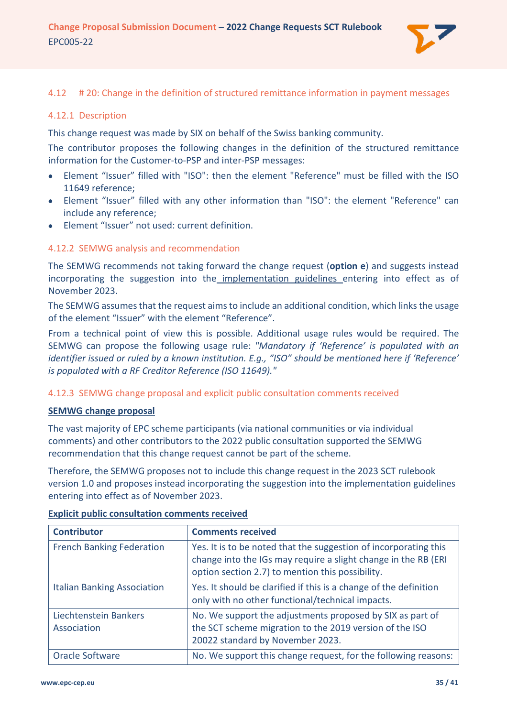

### <span id="page-34-0"></span>4.12 # 20: Change in the definition of structured remittance information in payment messages

#### <span id="page-34-1"></span>4.12.1 Description

This change request was made by SIX on behalf of the Swiss banking community.

The contributor proposes the following changes in the definition of the structured remittance information for the Customer-to-PSP and inter-PSP messages:

- Element "Issuer" filled with "ISO": then the element "Reference" must be filled with the ISO 11649 reference;
- Element "Issuer" filled with any other information than "ISO": the element "Reference" can include any reference;
- Element "Issuer" not used: current definition.

### <span id="page-34-2"></span>4.12.2 SEMWG analysis and recommendation

The SEMWG recommends not taking forward the change request (**option e**) and suggests instead incorporating the suggestion into the implementation guidelines entering into effect as of November 2023.

The SEMWG assumes that the request aims to include an additional condition, which links the usage of the element "Issuer" with the element "Reference".

From a technical point of view this is possible. Additional usage rules would be required. The SEMWG can propose the following usage rule: *"Mandatory if 'Reference' is populated with an identifier issued or ruled by a known institution. E.g., "ISO" should be mentioned here if 'Reference' is populated with a RF Creditor Reference (ISO 11649)."*

#### <span id="page-34-3"></span>4.12.3 SEMWG change proposal and explicit public consultation comments received

#### **SEMWG change proposal**

The vast majority of EPC scheme participants (via national communities or via individual comments) and other contributors to the 2022 public consultation supported the SEMWG recommendation that this change request cannot be part of the scheme.

Therefore, the SEMWG proposes not to include this change request in the 2023 SCT rulebook version 1.0 and proposes instead incorporating the suggestion into the implementation guidelines entering into effect as of November 2023.

| <b>Contributor</b>                   | <b>Comments received</b>                                                                                                                                                               |
|--------------------------------------|----------------------------------------------------------------------------------------------------------------------------------------------------------------------------------------|
| <b>French Banking Federation</b>     | Yes. It is to be noted that the suggestion of incorporating this<br>change into the IGs may require a slight change in the RB (ERI<br>option section 2.7) to mention this possibility. |
| <b>Italian Banking Association</b>   | Yes. It should be clarified if this is a change of the definition<br>only with no other functional/technical impacts.                                                                  |
| Liechtenstein Bankers<br>Association | No. We support the adjustments proposed by SIX as part of<br>the SCT scheme migration to the 2019 version of the ISO<br>20022 standard by November 2023.                               |
| <b>Oracle Software</b>               | No. We support this change request, for the following reasons:                                                                                                                         |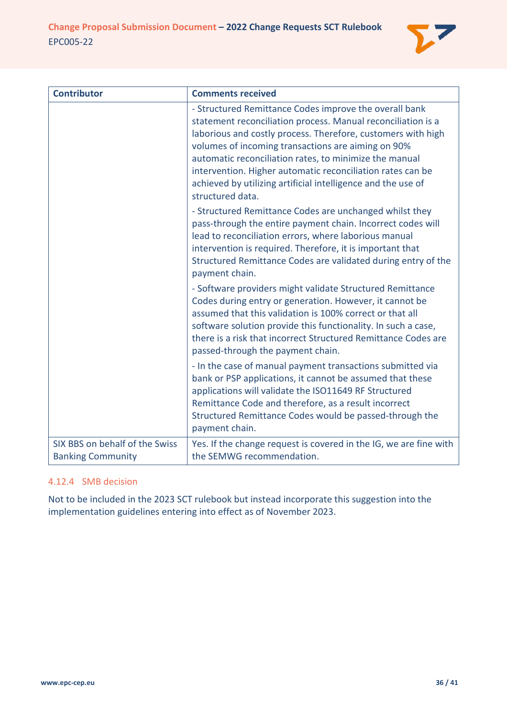

| <b>Contributor</b>                                         | <b>Comments received</b>                                                                                                                                                                                                                                                                                                                                                                                                                                 |
|------------------------------------------------------------|----------------------------------------------------------------------------------------------------------------------------------------------------------------------------------------------------------------------------------------------------------------------------------------------------------------------------------------------------------------------------------------------------------------------------------------------------------|
|                                                            | - Structured Remittance Codes improve the overall bank<br>statement reconciliation process. Manual reconciliation is a<br>laborious and costly process. Therefore, customers with high<br>volumes of incoming transactions are aiming on 90%<br>automatic reconciliation rates, to minimize the manual<br>intervention. Higher automatic reconciliation rates can be<br>achieved by utilizing artificial intelligence and the use of<br>structured data. |
|                                                            | - Structured Remittance Codes are unchanged whilst they<br>pass-through the entire payment chain. Incorrect codes will<br>lead to reconciliation errors, where laborious manual<br>intervention is required. Therefore, it is important that<br>Structured Remittance Codes are validated during entry of the<br>payment chain.                                                                                                                          |
|                                                            | - Software providers might validate Structured Remittance<br>Codes during entry or generation. However, it cannot be<br>assumed that this validation is 100% correct or that all<br>software solution provide this functionality. In such a case,<br>there is a risk that incorrect Structured Remittance Codes are<br>passed-through the payment chain.                                                                                                 |
|                                                            | - In the case of manual payment transactions submitted via<br>bank or PSP applications, it cannot be assumed that these<br>applications will validate the ISO11649 RF Structured<br>Remittance Code and therefore, as a result incorrect<br>Structured Remittance Codes would be passed-through the<br>payment chain.                                                                                                                                    |
| SIX BBS on behalf of the Swiss<br><b>Banking Community</b> | Yes. If the change request is covered in the IG, we are fine with<br>the SEMWG recommendation.                                                                                                                                                                                                                                                                                                                                                           |

# <span id="page-35-0"></span>4.12.4 SMB decision

Not to be included in the 2023 SCT rulebook but instead incorporate this suggestion into the implementation guidelines entering into effect as of November 2023.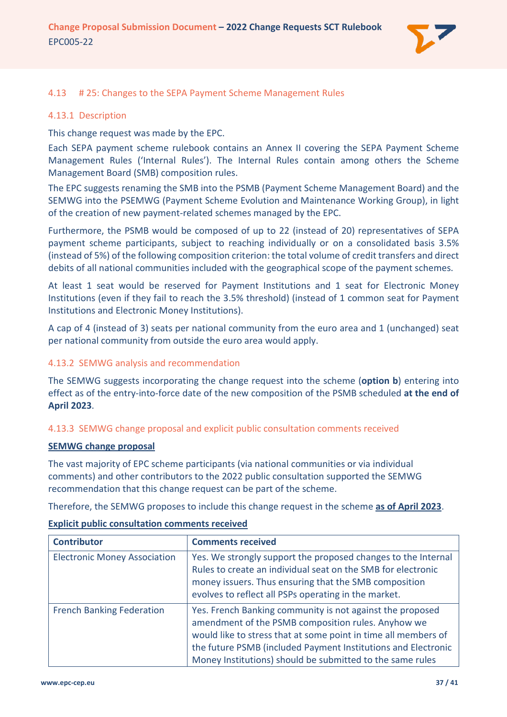

### <span id="page-36-0"></span>4.13 # 25: Changes to the SEPA Payment Scheme Management Rules

#### <span id="page-36-1"></span>4.13.1 Description

This change request was made by the EPC.

Each SEPA payment scheme rulebook contains an Annex II covering the SEPA Payment Scheme Management Rules ('Internal Rules'). The Internal Rules contain among others the Scheme Management Board (SMB) composition rules.

The EPC suggests renaming the SMB into the PSMB (Payment Scheme Management Board) and the SEMWG into the PSEMWG (Payment Scheme Evolution and Maintenance Working Group), in light of the creation of new payment-related schemes managed by the EPC.

Furthermore, the PSMB would be composed of up to 22 (instead of 20) representatives of SEPA payment scheme participants, subject to reaching individually or on a consolidated basis 3.5% (instead of 5%) of the following composition criterion: the total volume of credit transfers and direct debits of all national communities included with the geographical scope of the payment schemes.

At least 1 seat would be reserved for Payment Institutions and 1 seat for Electronic Money Institutions (even if they fail to reach the 3.5% threshold) (instead of 1 common seat for Payment Institutions and Electronic Money Institutions).

A cap of 4 (instead of 3) seats per national community from the euro area and 1 (unchanged) seat per national community from outside the euro area would apply.

### <span id="page-36-2"></span>4.13.2 SEMWG analysis and recommendation

The SEMWG suggests incorporating the change request into the scheme (**option b**) entering into effect as of the entry-into-force date of the new composition of the PSMB scheduled **at the end of April 2023**.

### <span id="page-36-3"></span>4.13.3 SEMWG change proposal and explicit public consultation comments received

#### **SEMWG change proposal**

The vast majority of EPC scheme participants (via national communities or via individual comments) and other contributors to the 2022 public consultation supported the SEMWG recommendation that this change request can be part of the scheme.

Therefore, the SEMWG proposes to include this change request in the scheme **as of April 2023**.

| <b>Contributor</b>                  | <b>Comments received</b>                                                                                                                                                                                                                                                                                        |
|-------------------------------------|-----------------------------------------------------------------------------------------------------------------------------------------------------------------------------------------------------------------------------------------------------------------------------------------------------------------|
| <b>Electronic Money Association</b> | Yes. We strongly support the proposed changes to the Internal<br>Rules to create an individual seat on the SMB for electronic<br>money issuers. Thus ensuring that the SMB composition<br>evolves to reflect all PSPs operating in the market.                                                                  |
| <b>French Banking Federation</b>    | Yes. French Banking community is not against the proposed<br>amendment of the PSMB composition rules. Anyhow we<br>would like to stress that at some point in time all members of<br>the future PSMB (included Payment Institutions and Electronic<br>Money Institutions) should be submitted to the same rules |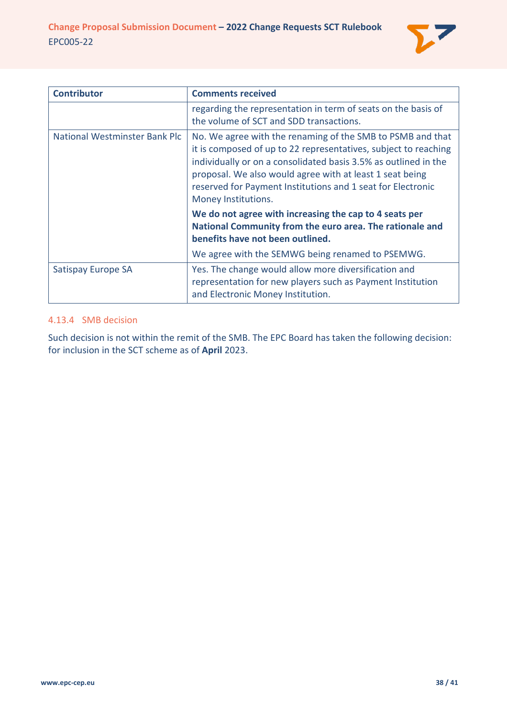

| <b>Contributor</b>            | <b>Comments received</b>                                                                                                                                                                                                                                                                                                                           |
|-------------------------------|----------------------------------------------------------------------------------------------------------------------------------------------------------------------------------------------------------------------------------------------------------------------------------------------------------------------------------------------------|
|                               | regarding the representation in term of seats on the basis of<br>the volume of SCT and SDD transactions.                                                                                                                                                                                                                                           |
| National Westminster Bank Plc | No. We agree with the renaming of the SMB to PSMB and that<br>it is composed of up to 22 representatives, subject to reaching<br>individually or on a consolidated basis 3.5% as outlined in the<br>proposal. We also would agree with at least 1 seat being<br>reserved for Payment Institutions and 1 seat for Electronic<br>Money Institutions. |
|                               | We do not agree with increasing the cap to 4 seats per<br>National Community from the euro area. The rationale and<br>benefits have not been outlined.                                                                                                                                                                                             |
|                               | We agree with the SEMWG being renamed to PSEMWG.                                                                                                                                                                                                                                                                                                   |
| Satispay Europe SA            | Yes. The change would allow more diversification and<br>representation for new players such as Payment Institution<br>and Electronic Money Institution.                                                                                                                                                                                            |

# <span id="page-37-0"></span>4.13.4 SMB decision

Such decision is not within the remit of the SMB. The EPC Board has taken the following decision: for inclusion in the SCT scheme as of **April** 2023.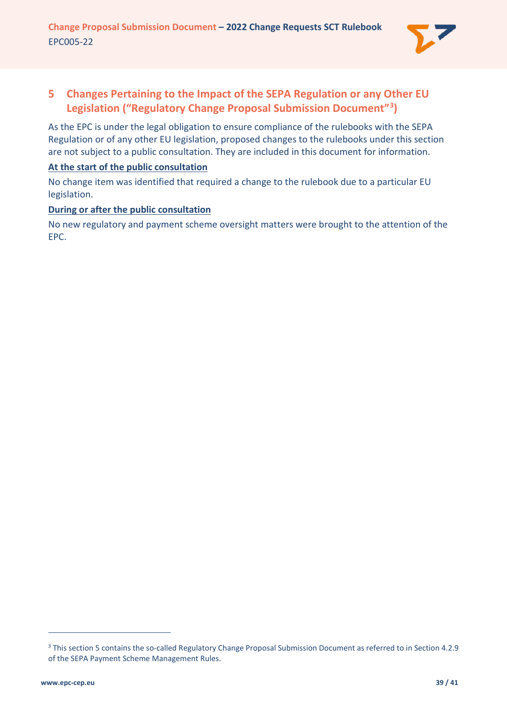

# <span id="page-38-0"></span>**5 Changes Pertaining to the Impact of the SEPA Regulation or any Other EU Legislation ("Regulatory Change Proposal Submission Document"[3](#page-38-1) )**

As the EPC is under the legal obligation to ensure compliance of the rulebooks with the SEPA Regulation or of any other EU legislation, proposed changes to the rulebooks under this section are not subject to a public consultation. They are included in this document for information.

## **At the start of the public consultation**

No change item was identified that required a change to the rulebook due to a particular EU legislation.

# **During or after the public consultation**

No new regulatory and payment scheme oversight matters were brought to the attention of the EPC.

<span id="page-38-1"></span><sup>3</sup> This section 5 contains the so-called Regulatory Change Proposal Submission Document as referred to in Section 4.2.9 of the SEPA Payment Scheme Management Rules.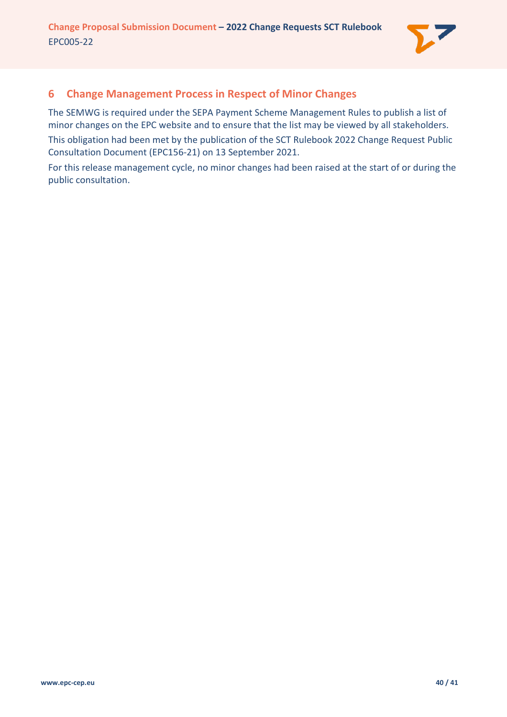

# <span id="page-39-0"></span>**6 Change Management Process in Respect of Minor Changes**

The SEMWG is required under the SEPA Payment Scheme Management Rules to publish a list of minor changes on the EPC website and to ensure that the list may be viewed by all stakeholders. This obligation had been met by the publication of the SCT Rulebook 2022 Change Request Public Consultation Document (EPC156-21) on 13 September 2021.

For this release management cycle, no minor changes had been raised at the start of or during the public consultation.